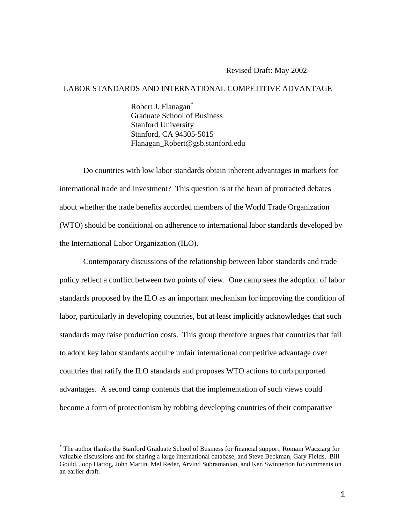#### Revised Draft: May 2002

## LABOR STANDARDS AND INTERNATIONAL COMPETITIVE ADVANTAGE

Robert J. Flanagan<sup>\*</sup> Graduate School of Business Stanford University Stanford, CA 94305-5015 Flanagan\_Robert@gsb.stanford.edu

Do countries with low labor standards obtain inherent advantages in markets for international trade and investment? This question is at the heart of protracted debates about whether the trade benefits accorded members of the World Trade Organization (WTO) should be conditional on adherence to international labor standards developed by the International Labor Organization (ILO).

Contemporary discussions of the relationship between labor standards and trade policy reflect a conflict between two points of view. One camp sees the adoption of labor standards proposed by the ILO as an important mechanism for improving the condition of labor, particularly in developing countries, but at least implicitly acknowledges that such standards may raise production costs. This group therefore argues that countries that fail to adopt key labor standards acquire unfair international competitive advantage over countries that ratify the ILO standards and proposes WTO actions to curb purported advantages. A second camp contends that the implementation of such views could become a form of protectionism by robbing developing countries of their comparative

<sup>\*</sup> The author thanks the Stanford Graduate School of Business for financial support, Romain Wacziarg for valuable discussions and for sharing a large international database, and Steve Beckman, Gary Fields, Bill Gould, Joop Hartog, John Martin, Mel Reder, Arvind Subramanian, and Ken Swinnerton for comments on an earlier draft.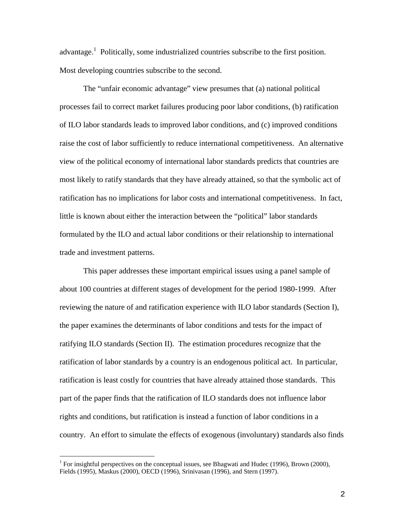advantage.<sup>1</sup> Politically, some industrialized countries subscribe to the first position. Most developing countries subscribe to the second.

The "unfair economic advantage" view presumes that (a) national political processes fail to correct market failures producing poor labor conditions, (b) ratification of ILO labor standards leads to improved labor conditions, and (c) improved conditions raise the cost of labor sufficiently to reduce international competitiveness. An alternative view of the political economy of international labor standards predicts that countries are most likely to ratify standards that they have already attained, so that the symbolic act of ratification has no implications for labor costs and international competitiveness. In fact, little is known about either the interaction between the "political" labor standards formulated by the ILO and actual labor conditions or their relationship to international trade and investment patterns.

This paper addresses these important empirical issues using a panel sample of about 100 countries at different stages of development for the period 1980-1999. After reviewing the nature of and ratification experience with ILO labor standards (Section I), the paper examines the determinants of labor conditions and tests for the impact of ratifying ILO standards (Section II). The estimation procedures recognize that the ratification of labor standards by a country is an endogenous political act. In particular, ratification is least costly for countries that have already attained those standards. This part of the paper finds that the ratification of ILO standards does not influence labor rights and conditions, but ratification is instead a function of labor conditions in a country. An effort to simulate the effects of exogenous (involuntary) standards also finds

<sup>&</sup>lt;sup>1</sup> For insightful perspectives on the conceptual issues, see Bhagwati and Hudec (1996), Brown (2000), Fields (1995), Maskus (2000), OECD (1996), Srinivasan (1996), and Stern (1997).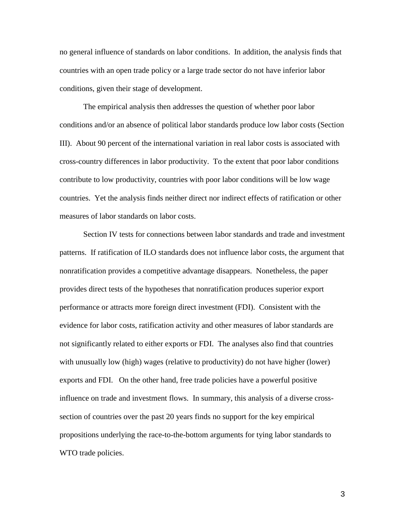no general influence of standards on labor conditions. In addition, the analysis finds that countries with an open trade policy or a large trade sector do not have inferior labor conditions, given their stage of development.

The empirical analysis then addresses the question of whether poor labor conditions and/or an absence of political labor standards produce low labor costs (Section III). About 90 percent of the international variation in real labor costs is associated with cross-country differences in labor productivity. To the extent that poor labor conditions contribute to low productivity, countries with poor labor conditions will be low wage countries. Yet the analysis finds neither direct nor indirect effects of ratification or other measures of labor standards on labor costs.

Section IV tests for connections between labor standards and trade and investment patterns. If ratification of ILO standards does not influence labor costs, the argument that nonratification provides a competitive advantage disappears. Nonetheless, the paper provides direct tests of the hypotheses that nonratification produces superior export performance or attracts more foreign direct investment (FDI). Consistent with the evidence for labor costs, ratification activity and other measures of labor standards are not significantly related to either exports or FDI. The analyses also find that countries with unusually low (high) wages (relative to productivity) do not have higher (lower) exports and FDI. On the other hand, free trade policies have a powerful positive influence on trade and investment flows. In summary, this analysis of a diverse crosssection of countries over the past 20 years finds no support for the key empirical propositions underlying the race-to-the-bottom arguments for tying labor standards to WTO trade policies.

3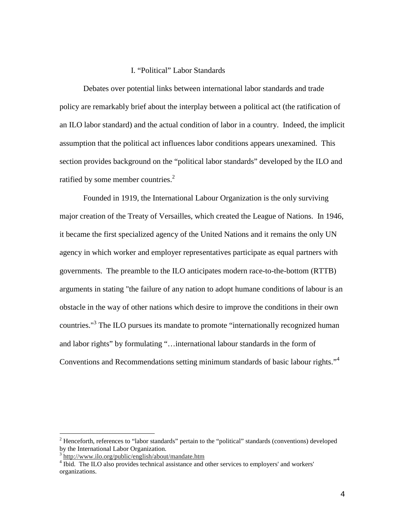## I. "Political" Labor Standards

Debates over potential links between international labor standards and trade policy are remarkably brief about the interplay between a political act (the ratification of an ILO labor standard) and the actual condition of labor in a country. Indeed, the implicit assumption that the political act influences labor conditions appears unexamined. This section provides background on the "political labor standards" developed by the ILO and ratified by some member countries. $2^2$ 

Founded in 1919, the International Labour Organization is the only surviving major creation of the Treaty of Versailles, which created the League of Nations. In 1946, it became the first specialized agency of the United Nations and it remains the only UN agency in which worker and employer representatives participate as equal partners with governments. The preamble to the ILO anticipates modern race-to-the-bottom (RTTB) arguments in stating "the failure of any nation to adopt humane conditions of labour is an obstacle in the way of other nations which desire to improve the conditions in their own countries."<sup>3</sup> The ILO pursues its mandate to promote "internationally recognized human and labor rights" by formulating "…international labour standards in the form of Conventions and Recommendations setting minimum standards of basic labour rights."<sup>4</sup>

<sup>&</sup>lt;sup>2</sup> Henceforth, references to "labor standards" pertain to the "political" standards (conventions) developed by the International Labor Organization.

<sup>3</sup> http://www.ilo.org/public/english/about/mandate.htm

<sup>&</sup>lt;sup>4</sup> Ibid. The ILO also provides technical assistance and other services to employers' and workers' organizations.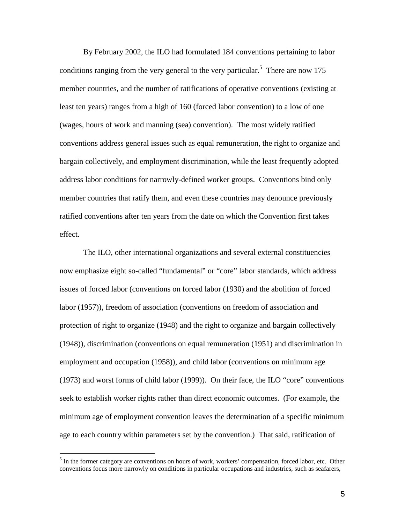By February 2002, the ILO had formulated 184 conventions pertaining to labor conditions ranging from the very general to the very particular.<sup>5</sup> There are now 175 member countries, and the number of ratifications of operative conventions (existing at least ten years) ranges from a high of 160 (forced labor convention) to a low of one (wages, hours of work and manning (sea) convention). The most widely ratified conventions address general issues such as equal remuneration, the right to organize and bargain collectively, and employment discrimination, while the least frequently adopted address labor conditions for narrowly-defined worker groups. Conventions bind only member countries that ratify them, and even these countries may denounce previously ratified conventions after ten years from the date on which the Convention first takes effect.

The ILO, other international organizations and several external constituencies now emphasize eight so-called "fundamental" or "core" labor standards, which address issues of forced labor (conventions on forced labor (1930) and the abolition of forced labor (1957)), freedom of association (conventions on freedom of association and protection of right to organize (1948) and the right to organize and bargain collectively (1948)), discrimination (conventions on equal remuneration (1951) and discrimination in employment and occupation (1958)), and child labor (conventions on minimum age (1973) and worst forms of child labor (1999)). On their face, the ILO "core" conventions seek to establish worker rights rather than direct economic outcomes. (For example, the minimum age of employment convention leaves the determination of a specific minimum age to each country within parameters set by the convention.) That said, ratification of

 $<sup>5</sup>$  In the former category are conventions on hours of work, workers' compensation, forced labor, etc. Other</sup> conventions focus more narrowly on conditions in particular occupations and industries, such as seafarers,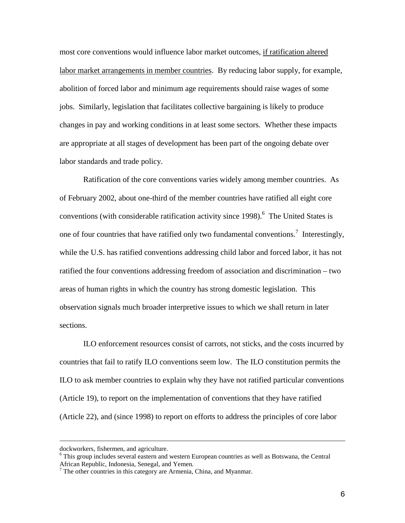most core conventions would influence labor market outcomes, if ratification altered labor market arrangements in member countries. By reducing labor supply, for example, abolition of forced labor and minimum age requirements should raise wages of some jobs. Similarly, legislation that facilitates collective bargaining is likely to produce changes in pay and working conditions in at least some sectors. Whether these impacts are appropriate at all stages of development has been part of the ongoing debate over labor standards and trade policy.

Ratification of the core conventions varies widely among member countries. As of February 2002, about one-third of the member countries have ratified all eight core conventions (with considerable ratification activity since 1998).<sup>6</sup> The United States is one of four countries that have ratified only two fundamental conventions.<sup>7</sup> Interestingly, while the U.S. has ratified conventions addressing child labor and forced labor, it has not ratified the four conventions addressing freedom of association and discrimination – two areas of human rights in which the country has strong domestic legislation. This observation signals much broader interpretive issues to which we shall return in later sections.

ILO enforcement resources consist of carrots, not sticks, and the costs incurred by countries that fail to ratify ILO conventions seem low. The ILO constitution permits the ILO to ask member countries to explain why they have not ratified particular conventions (Article 19), to report on the implementation of conventions that they have ratified (Article 22), and (since 1998) to report on efforts to address the principles of core labor

dockworkers, fishermen, and agriculture.

<sup>&</sup>lt;sup>6</sup> This group includes several eastern and western European countries as well as Botswana, the Central African Republic, Indonesia, Senegal, and Yemen.

 $<sup>7</sup>$  The other countries in this category are Armenia, China, and Myanmar.</sup>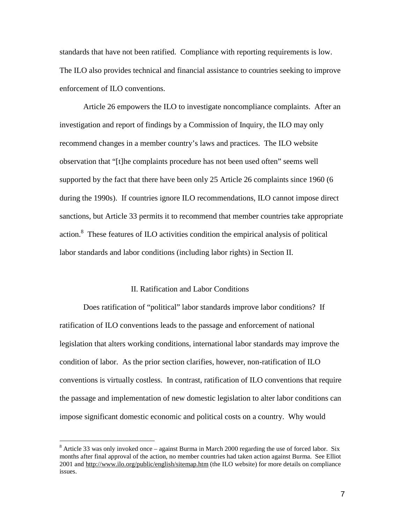standards that have not been ratified. Compliance with reporting requirements is low. The ILO also provides technical and financial assistance to countries seeking to improve enforcement of ILO conventions.

Article 26 empowers the ILO to investigate noncompliance complaints. After an investigation and report of findings by a Commission of Inquiry, the ILO may only recommend changes in a member country's laws and practices. The ILO website observation that "[t]he complaints procedure has not been used often" seems well supported by the fact that there have been only 25 Article 26 complaints since 1960 (6 during the 1990s). If countries ignore ILO recommendations, ILO cannot impose direct sanctions, but Article 33 permits it to recommend that member countries take appropriate action.8 These features of ILO activities condition the empirical analysis of political labor standards and labor conditions (including labor rights) in Section II.

### II. Ratification and Labor Conditions

Does ratification of "political" labor standards improve labor conditions? If ratification of ILO conventions leads to the passage and enforcement of national legislation that alters working conditions, international labor standards may improve the condition of labor. As the prior section clarifies, however, non-ratification of ILO conventions is virtually costless. In contrast, ratification of ILO conventions that require the passage and implementation of new domestic legislation to alter labor conditions can impose significant domestic economic and political costs on a country. Why would

 $8$  Article 33 was only invoked once – against Burma in March 2000 regarding the use of forced labor. Six months after final approval of the action, no member countries had taken action against Burma. See Elliot 2001 and http://www.ilo.org/public/english/sitemap.htm (the ILO website) for more details on compliance issues.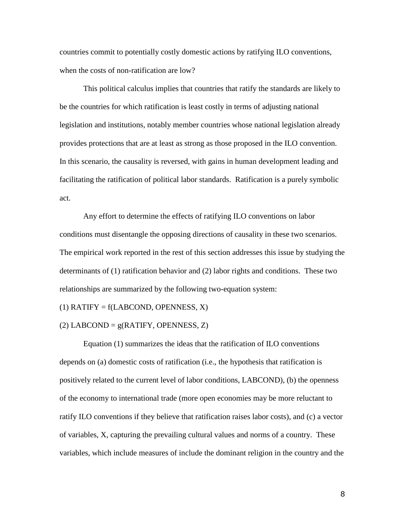countries commit to potentially costly domestic actions by ratifying ILO conventions, when the costs of non-ratification are low?

This political calculus implies that countries that ratify the standards are likely to be the countries for which ratification is least costly in terms of adjusting national legislation and institutions, notably member countries whose national legislation already provides protections that are at least as strong as those proposed in the ILO convention. In this scenario, the causality is reversed, with gains in human development leading and facilitating the ratification of political labor standards. Ratification is a purely symbolic act.

Any effort to determine the effects of ratifying ILO conventions on labor conditions must disentangle the opposing directions of causality in these two scenarios. The empirical work reported in the rest of this section addresses this issue by studying the determinants of (1) ratification behavior and (2) labor rights and conditions. These two relationships are summarized by the following two-equation system:

 $(1)$  RATIFY = f(LABCOND, OPENNESS, X)

 $(2)$  LABCOND =  $g(RATIFY, OPENNESS, Z)$ 

Equation (1) summarizes the ideas that the ratification of ILO conventions depends on (a) domestic costs of ratification (i.e., the hypothesis that ratification is positively related to the current level of labor conditions, LABCOND), (b) the openness of the economy to international trade (more open economies may be more reluctant to ratify ILO conventions if they believe that ratification raises labor costs), and (c) a vector of variables, X, capturing the prevailing cultural values and norms of a country. These variables, which include measures of include the dominant religion in the country and the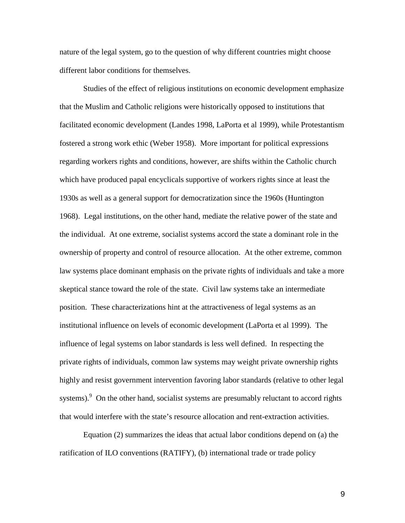nature of the legal system, go to the question of why different countries might choose different labor conditions for themselves.

Studies of the effect of religious institutions on economic development emphasize that the Muslim and Catholic religions were historically opposed to institutions that facilitated economic development (Landes 1998, LaPorta et al 1999), while Protestantism fostered a strong work ethic (Weber 1958). More important for political expressions regarding workers rights and conditions, however, are shifts within the Catholic church which have produced papal encyclicals supportive of workers rights since at least the 1930s as well as a general support for democratization since the 1960s (Huntington 1968). Legal institutions, on the other hand, mediate the relative power of the state and the individual. At one extreme, socialist systems accord the state a dominant role in the ownership of property and control of resource allocation. At the other extreme, common law systems place dominant emphasis on the private rights of individuals and take a more skeptical stance toward the role of the state. Civil law systems take an intermediate position. These characterizations hint at the attractiveness of legal systems as an institutional influence on levels of economic development (LaPorta et al 1999). The influence of legal systems on labor standards is less well defined. In respecting the private rights of individuals, common law systems may weight private ownership rights highly and resist government intervention favoring labor standards (relative to other legal systems).<sup>9</sup> On the other hand, socialist systems are presumably reluctant to accord rights that would interfere with the state's resource allocation and rent-extraction activities.

Equation (2) summarizes the ideas that actual labor conditions depend on (a) the ratification of ILO conventions (RATIFY), (b) international trade or trade policy

9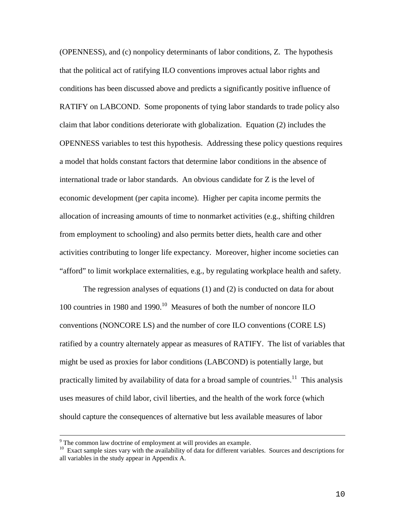(OPENNESS), and (c) nonpolicy determinants of labor conditions, Z. The hypothesis that the political act of ratifying ILO conventions improves actual labor rights and conditions has been discussed above and predicts a significantly positive influence of RATIFY on LABCOND. Some proponents of tying labor standards to trade policy also claim that labor conditions deteriorate with globalization. Equation (2) includes the OPENNESS variables to test this hypothesis. Addressing these policy questions requires a model that holds constant factors that determine labor conditions in the absence of international trade or labor standards. An obvious candidate for Z is the level of economic development (per capita income). Higher per capita income permits the allocation of increasing amounts of time to nonmarket activities (e.g., shifting children from employment to schooling) and also permits better diets, health care and other activities contributing to longer life expectancy. Moreover, higher income societies can "afford" to limit workplace externalities, e.g., by regulating workplace health and safety.

The regression analyses of equations (1) and (2) is conducted on data for about 100 countries in 1980 and 1990.<sup>10</sup> Measures of both the number of noncore ILO conventions (NONCORE LS) and the number of core ILO conventions (CORE LS) ratified by a country alternately appear as measures of RATIFY. The list of variables that might be used as proxies for labor conditions (LABCOND) is potentially large, but practically limited by availability of data for a broad sample of countries.<sup>11</sup> This analysis uses measures of child labor, civil liberties, and the health of the work force (which should capture the consequences of alternative but less available measures of labor

<sup>9</sup> The common law doctrine of employment at will provides an example.

<sup>&</sup>lt;sup>10</sup> Exact sample sizes vary with the availability of data for different variables. Sources and descriptions for all variables in the study appear in Appendix A.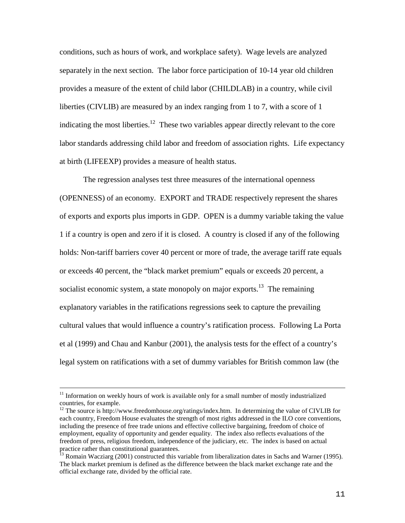conditions, such as hours of work, and workplace safety). Wage levels are analyzed separately in the next section. The labor force participation of 10-14 year old children provides a measure of the extent of child labor (CHILDLAB) in a country, while civil liberties (CIVLIB) are measured by an index ranging from 1 to 7, with a score of 1 indicating the most liberties.<sup>12</sup> These two variables appear directly relevant to the core labor standards addressing child labor and freedom of association rights. Life expectancy at birth (LIFEEXP) provides a measure of health status.

The regression analyses test three measures of the international openness (OPENNESS) of an economy. EXPORT and TRADE respectively represent the shares of exports and exports plus imports in GDP. OPEN is a dummy variable taking the value 1 if a country is open and zero if it is closed. A country is closed if any of the following holds: Non-tariff barriers cover 40 percent or more of trade, the average tariff rate equals or exceeds 40 percent, the "black market premium" equals or exceeds 20 percent, a socialist economic system, a state monopoly on major exports.<sup>13</sup> The remaining explanatory variables in the ratifications regressions seek to capture the prevailing cultural values that would influence a country's ratification process. Following La Porta et al (1999) and Chau and Kanbur (2001), the analysis tests for the effect of a country's legal system on ratifications with a set of dummy variables for British common law (the

 $11$  Information on weekly hours of work is available only for a small number of mostly industrialized countries, for example.

<sup>&</sup>lt;sup>12</sup> The source is http://www.freedomhouse.org/ratings/index.htm. In determining the value of CIVLIB for each country, Freedom House evaluates the strength of most rights addressed in the ILO core conventions, including the presence of free trade unions and effective collective bargaining, freedom of choice of employment, equality of opportunity and gender equality. The index also reflects evaluations of the freedom of press, religious freedom, independence of the judiciary, etc. The index is based on actual practice rather than constitutional guarantees.

<sup>&</sup>lt;sup>13</sup> Romain Wacziarg (2001) constructed this variable from liberalization dates in Sachs and Warner (1995). The black market premium is defined as the difference between the black market exchange rate and the official exchange rate, divided by the official rate.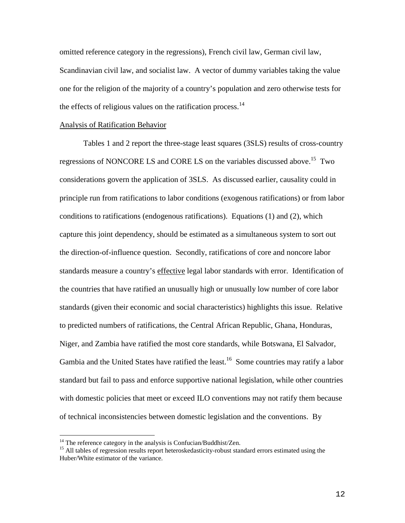omitted reference category in the regressions), French civil law, German civil law, Scandinavian civil law, and socialist law. A vector of dummy variables taking the value one for the religion of the majority of a country's population and zero otherwise tests for the effects of religious values on the ratification process. $14$ 

#### Analysis of Ratification Behavior

Tables 1 and 2 report the three-stage least squares (3SLS) results of cross-country regressions of NONCORE LS and CORE LS on the variables discussed above.<sup>15</sup> Two considerations govern the application of 3SLS. As discussed earlier, causality could in principle run from ratifications to labor conditions (exogenous ratifications) or from labor conditions to ratifications (endogenous ratifications). Equations (1) and (2), which capture this joint dependency, should be estimated as a simultaneous system to sort out the direction-of-influence question. Secondly, ratifications of core and noncore labor standards measure a country's effective legal labor standards with error. Identification of the countries that have ratified an unusually high or unusually low number of core labor standards (given their economic and social characteristics) highlights this issue. Relative to predicted numbers of ratifications, the Central African Republic, Ghana, Honduras, Niger, and Zambia have ratified the most core standards, while Botswana, El Salvador, Gambia and the United States have ratified the least.<sup>16</sup> Some countries may ratify a labor standard but fail to pass and enforce supportive national legislation, while other countries with domestic policies that meet or exceed ILO conventions may not ratify them because of technical inconsistencies between domestic legislation and the conventions. By

<sup>&</sup>lt;sup>14</sup> The reference category in the analysis is Confucian/Buddhist/Zen.<br><sup>15</sup> All tables of regression results report heteroskedasticity-robust standard errors estimated using the Huber/White estimator of the variance.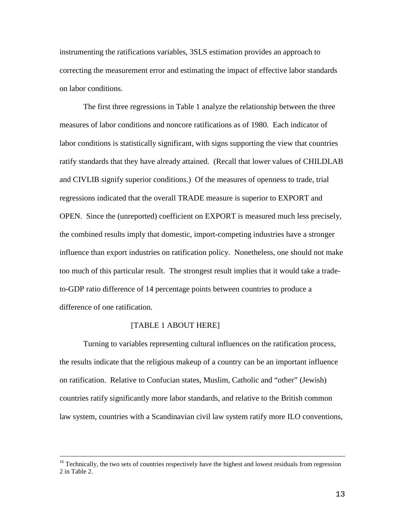instrumenting the ratifications variables, 3SLS estimation provides an approach to correcting the measurement error and estimating the impact of effective labor standards on labor conditions.

The first three regressions in Table 1 analyze the relationship between the three measures of labor conditions and noncore ratifications as of 1980. Each indicator of labor conditions is statistically significant, with signs supporting the view that countries ratify standards that they have already attained. (Recall that lower values of CHILDLAB and CIVLIB signify superior conditions.) Of the measures of openness to trade, trial regressions indicated that the overall TRADE measure is superior to EXPORT and OPEN. Since the (unreported) coefficient on EXPORT is measured much less precisely, the combined results imply that domestic, import-competing industries have a stronger influence than export industries on ratification policy. Nonetheless, one should not make too much of this particular result. The strongest result implies that it would take a tradeto-GDP ratio difference of 14 percentage points between countries to produce a difference of one ratification.

#### [TABLE 1 ABOUT HERE]

Turning to variables representing cultural influences on the ratification process, the results indicate that the religious makeup of a country can be an important influence on ratification. Relative to Confucian states, Muslim, Catholic and "other" (Jewish) countries ratify significantly more labor standards, and relative to the British common law system, countries with a Scandinavian civil law system ratify more ILO conventions,

<sup>&</sup>lt;sup>16</sup> Technically, the two sets of countries respectively have the highest and lowest residuals from regression 2 in Table 2.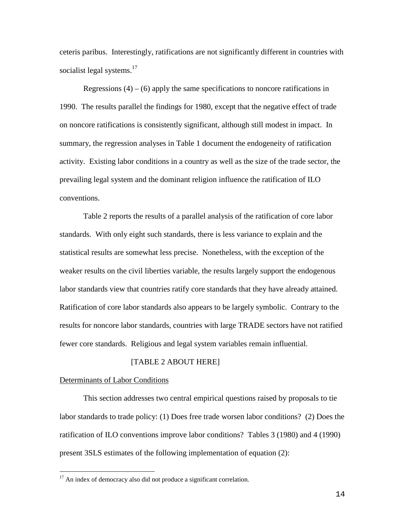ceteris paribus. Interestingly, ratifications are not significantly different in countries with socialist legal systems.<sup>17</sup>

Regressions  $(4) - (6)$  apply the same specifications to noncore ratifications in 1990. The results parallel the findings for 1980, except that the negative effect of trade on noncore ratifications is consistently significant, although still modest in impact. In summary, the regression analyses in Table 1 document the endogeneity of ratification activity. Existing labor conditions in a country as well as the size of the trade sector, the prevailing legal system and the dominant religion influence the ratification of ILO conventions.

Table 2 reports the results of a parallel analysis of the ratification of core labor standards. With only eight such standards, there is less variance to explain and the statistical results are somewhat less precise. Nonetheless, with the exception of the weaker results on the civil liberties variable, the results largely support the endogenous labor standards view that countries ratify core standards that they have already attained. Ratification of core labor standards also appears to be largely symbolic. Contrary to the results for noncore labor standards, countries with large TRADE sectors have not ratified fewer core standards. Religious and legal system variables remain influential.

# [TABLE 2 ABOUT HERE]

## Determinants of Labor Conditions

This section addresses two central empirical questions raised by proposals to tie labor standards to trade policy: (1) Does free trade worsen labor conditions? (2) Does the ratification of ILO conventions improve labor conditions? Tables 3 (1980) and 4 (1990) present 3SLS estimates of the following implementation of equation (2):

<sup>&</sup>lt;sup>17</sup> An index of democracy also did not produce a significant correlation.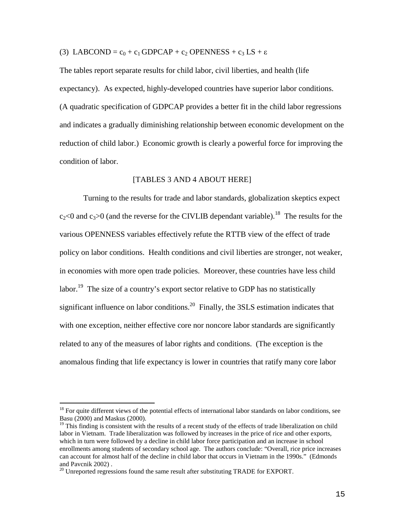(3) LABCOND =  $c_0$  +  $c_1$  GDPCAP +  $c_2$  OPENNESS +  $c_3$  LS +  $\varepsilon$ 

The tables report separate results for child labor, civil liberties, and health (life expectancy). As expected, highly-developed countries have superior labor conditions. (A quadratic specification of GDPCAP provides a better fit in the child labor regressions and indicates a gradually diminishing relationship between economic development on the reduction of child labor.) Economic growth is clearly a powerful force for improving the condition of labor.

# [TABLES 3 AND 4 ABOUT HERE]

Turning to the results for trade and labor standards, globalization skeptics expect  $c_2$ <0 and  $c_3$ >0 (and the reverse for the CIVLIB dependant variable).<sup>18</sup> The results for the various OPENNESS variables effectively refute the RTTB view of the effect of trade policy on labor conditions. Health conditions and civil liberties are stronger, not weaker, in economies with more open trade policies. Moreover, these countries have less child labor.<sup>19</sup> The size of a country's export sector relative to GDP has no statistically significant influence on labor conditions.<sup>20</sup> Finally, the 3SLS estimation indicates that with one exception, neither effective core nor noncore labor standards are significantly related to any of the measures of labor rights and conditions. (The exception is the anomalous finding that life expectancy is lower in countries that ratify many core labor

 $18$  For quite different views of the potential effects of international labor standards on labor conditions, see Basu (2000) and Maskus (2000).

 $19$  This finding is consistent with the results of a recent study of the effects of trade liberalization on child labor in Vietnam. Trade liberalization was followed by increases in the price of rice and other exports, which in turn were followed by a decline in child labor force participation and an increase in school enrollments among students of secondary school age. The authors conclude: "Overall, rice price increases can account for almost half of the decline in child labor that occurs in Vietnam in the 1990s." (Edmonds and Pavcnik 2002) .

 $20$  Unreported regressions found the same result after substituting TRADE for EXPORT.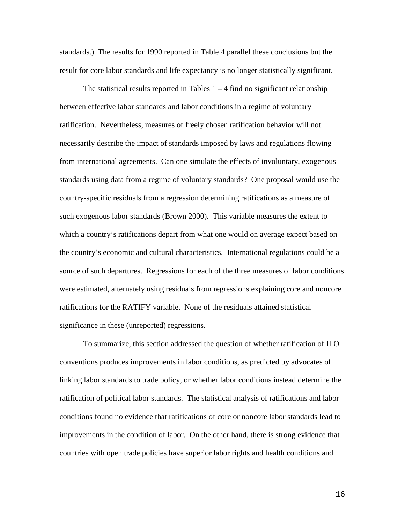standards.) The results for 1990 reported in Table 4 parallel these conclusions but the result for core labor standards and life expectancy is no longer statistically significant.

The statistical results reported in Tables  $1 - 4$  find no significant relationship between effective labor standards and labor conditions in a regime of voluntary ratification. Nevertheless, measures of freely chosen ratification behavior will not necessarily describe the impact of standards imposed by laws and regulations flowing from international agreements. Can one simulate the effects of involuntary, exogenous standards using data from a regime of voluntary standards? One proposal would use the country-specific residuals from a regression determining ratifications as a measure of such exogenous labor standards (Brown 2000). This variable measures the extent to which a country's ratifications depart from what one would on average expect based on the country's economic and cultural characteristics. International regulations could be a source of such departures. Regressions for each of the three measures of labor conditions were estimated, alternately using residuals from regressions explaining core and noncore ratifications for the RATIFY variable. None of the residuals attained statistical significance in these (unreported) regressions.

To summarize, this section addressed the question of whether ratification of ILO conventions produces improvements in labor conditions, as predicted by advocates of linking labor standards to trade policy, or whether labor conditions instead determine the ratification of political labor standards. The statistical analysis of ratifications and labor conditions found no evidence that ratifications of core or noncore labor standards lead to improvements in the condition of labor. On the other hand, there is strong evidence that countries with open trade policies have superior labor rights and health conditions and

16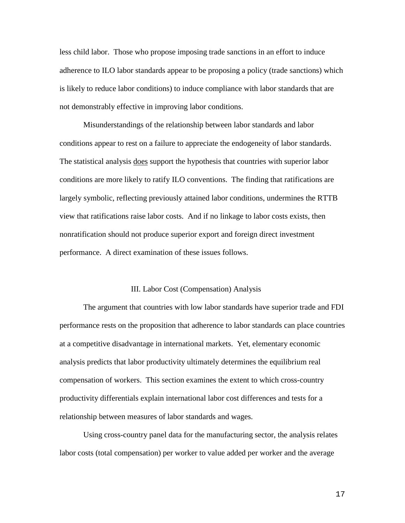less child labor. Those who propose imposing trade sanctions in an effort to induce adherence to ILO labor standards appear to be proposing a policy (trade sanctions) which is likely to reduce labor conditions) to induce compliance with labor standards that are not demonstrably effective in improving labor conditions.

Misunderstandings of the relationship between labor standards and labor conditions appear to rest on a failure to appreciate the endogeneity of labor standards. The statistical analysis does support the hypothesis that countries with superior labor conditions are more likely to ratify ILO conventions. The finding that ratifications are largely symbolic, reflecting previously attained labor conditions, undermines the RTTB view that ratifications raise labor costs. And if no linkage to labor costs exists, then nonratification should not produce superior export and foreign direct investment performance. A direct examination of these issues follows.

#### III. Labor Cost (Compensation) Analysis

The argument that countries with low labor standards have superior trade and FDI performance rests on the proposition that adherence to labor standards can place countries at a competitive disadvantage in international markets. Yet, elementary economic analysis predicts that labor productivity ultimately determines the equilibrium real compensation of workers. This section examines the extent to which cross-country productivity differentials explain international labor cost differences and tests for a relationship between measures of labor standards and wages.

Using cross-country panel data for the manufacturing sector, the analysis relates labor costs (total compensation) per worker to value added per worker and the average

17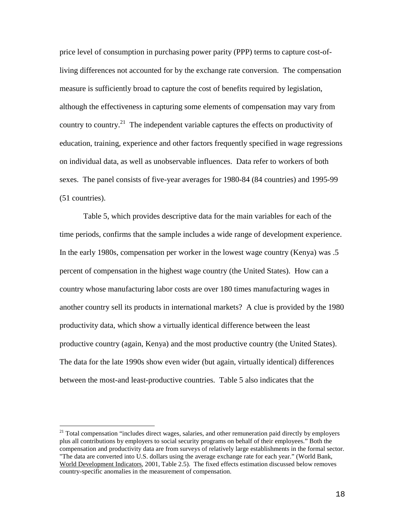price level of consumption in purchasing power parity (PPP) terms to capture cost-ofliving differences not accounted for by the exchange rate conversion. The compensation measure is sufficiently broad to capture the cost of benefits required by legislation, although the effectiveness in capturing some elements of compensation may vary from country to country.<sup>21</sup> The independent variable captures the effects on productivity of education, training, experience and other factors frequently specified in wage regressions on individual data, as well as unobservable influences. Data refer to workers of both sexes. The panel consists of five-year averages for 1980-84 (84 countries) and 1995-99 (51 countries).

Table 5, which provides descriptive data for the main variables for each of the time periods, confirms that the sample includes a wide range of development experience. In the early 1980s, compensation per worker in the lowest wage country (Kenya) was .5 percent of compensation in the highest wage country (the United States). How can a country whose manufacturing labor costs are over 180 times manufacturing wages in another country sell its products in international markets? A clue is provided by the 1980 productivity data, which show a virtually identical difference between the least productive country (again, Kenya) and the most productive country (the United States). The data for the late 1990s show even wider (but again, virtually identical) differences between the most-and least-productive countries. Table 5 also indicates that the

 $21$  Total compensation "includes direct wages, salaries, and other remuneration paid directly by employers plus all contributions by employers to social security programs on behalf of their employees." Both the compensation and productivity data are from surveys of relatively large establishments in the formal sector. "The data are converted into U.S. dollars using the average exchange rate for each year." (World Bank, World Development Indicators, 2001, Table 2.5). The fixed effects estimation discussed below removes country-specific anomalies in the measurement of compensation.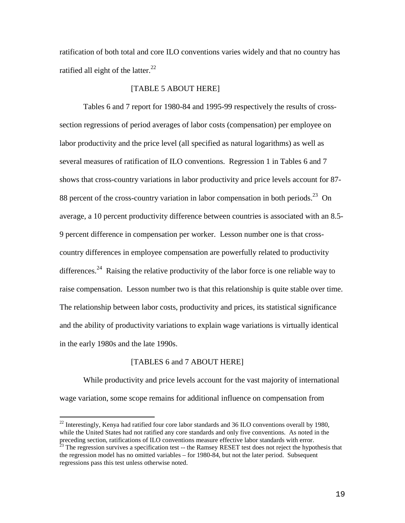ratification of both total and core ILO conventions varies widely and that no country has ratified all eight of the latter. $^{22}$ 

## [TABLE 5 ABOUT HERE]

Tables 6 and 7 report for 1980-84 and 1995-99 respectively the results of crosssection regressions of period averages of labor costs (compensation) per employee on labor productivity and the price level (all specified as natural logarithms) as well as several measures of ratification of ILO conventions. Regression 1 in Tables 6 and 7 shows that cross-country variations in labor productivity and price levels account for 87- 88 percent of the cross-country variation in labor compensation in both periods.<sup>23</sup> On average, a 10 percent productivity difference between countries is associated with an 8.5- 9 percent difference in compensation per worker. Lesson number one is that crosscountry differences in employee compensation are powerfully related to productivity differences.<sup>24</sup> Raising the relative productivity of the labor force is one reliable way to raise compensation. Lesson number two is that this relationship is quite stable over time. The relationship between labor costs, productivity and prices, its statistical significance and the ability of productivity variations to explain wage variations is virtually identical in the early 1980s and the late 1990s.

## [TABLES 6 and 7 ABOUT HERE]

While productivity and price levels account for the vast majority of international wage variation, some scope remains for additional influence on compensation from

<sup>&</sup>lt;sup>22</sup> Interestingly, Kenya had ratified four core labor standards and 36 ILO conventions overall by 1980, while the United States had not ratified any core standards and only five conventions. As noted in the preceding section, ratifications of ILO conventions measure effective labor standards with error.

 $^{23}$  The regression survives a specification test -- the Ramsey RESET test does not reject the hypothesis that the regression model has no omitted variables – for 1980-84, but not the later period. Subsequent regressions pass this test unless otherwise noted.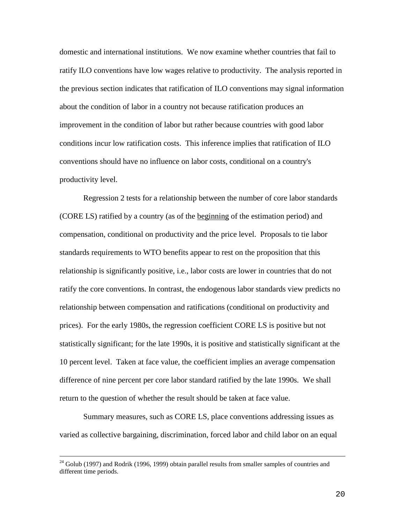domestic and international institutions. We now examine whether countries that fail to ratify ILO conventions have low wages relative to productivity. The analysis reported in the previous section indicates that ratification of ILO conventions may signal information about the condition of labor in a country not because ratification produces an improvement in the condition of labor but rather because countries with good labor conditions incur low ratification costs. This inference implies that ratification of ILO conventions should have no influence on labor costs, conditional on a country's productivity level.

Regression 2 tests for a relationship between the number of core labor standards (CORE LS) ratified by a country (as of the beginning of the estimation period) and compensation, conditional on productivity and the price level. Proposals to tie labor standards requirements to WTO benefits appear to rest on the proposition that this relationship is significantly positive, i.e., labor costs are lower in countries that do not ratify the core conventions. In contrast, the endogenous labor standards view predicts no relationship between compensation and ratifications (conditional on productivity and prices). For the early 1980s, the regression coefficient CORE LS is positive but not statistically significant; for the late 1990s, it is positive and statistically significant at the 10 percent level. Taken at face value, the coefficient implies an average compensation difference of nine percent per core labor standard ratified by the late 1990s. We shall return to the question of whether the result should be taken at face value.

Summary measures, such as CORE LS, place conventions addressing issues as varied as collective bargaining, discrimination, forced labor and child labor on an equal

 $24$  Golub (1997) and Rodrik (1996, 1999) obtain parallel results from smaller samples of countries and different time periods.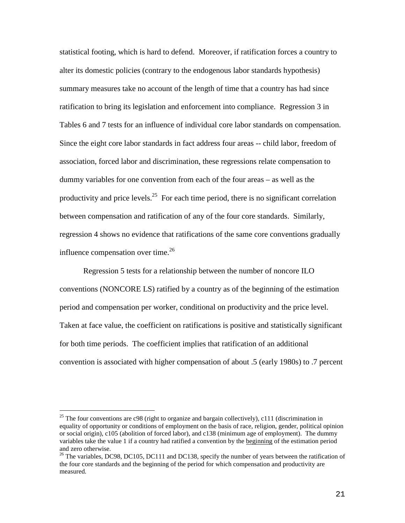statistical footing, which is hard to defend. Moreover, if ratification forces a country to alter its domestic policies (contrary to the endogenous labor standards hypothesis) summary measures take no account of the length of time that a country has had since ratification to bring its legislation and enforcement into compliance. Regression 3 in Tables 6 and 7 tests for an influence of individual core labor standards on compensation. Since the eight core labor standards in fact address four areas -- child labor, freedom of association, forced labor and discrimination, these regressions relate compensation to dummy variables for one convention from each of the four areas – as well as the productivity and price levels.<sup>25</sup> For each time period, there is no significant correlation between compensation and ratification of any of the four core standards. Similarly, regression 4 shows no evidence that ratifications of the same core conventions gradually influence compensation over time. $^{26}$ 

Regression 5 tests for a relationship between the number of noncore ILO conventions (NONCORE LS) ratified by a country as of the beginning of the estimation period and compensation per worker, conditional on productivity and the price level. Taken at face value, the coefficient on ratifications is positive and statistically significant for both time periods. The coefficient implies that ratification of an additional convention is associated with higher compensation of about .5 (early 1980s) to .7 percent

<sup>&</sup>lt;sup>25</sup> The four conventions are c98 (right to organize and bargain collectively), c111 (discrimination in equality of opportunity or conditions of employment on the basis of race, religion, gender, political opinion or social origin), c105 (abolition of forced labor), and c138 (minimum age of employment). The dummy variables take the value 1 if a country had ratified a convention by the beginning of the estimation period and zero otherwise.

 $^{26}$  The variables, DC98, DC105, DC111 and DC138, specify the number of years between the ratification of the four core standards and the beginning of the period for which compensation and productivity are measured.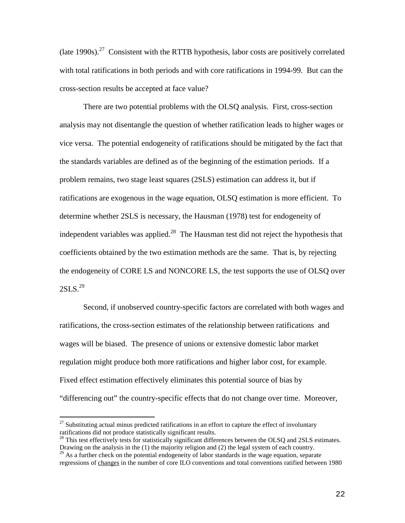(late  $1990s$ ).<sup>27</sup> Consistent with the RTTB hypothesis, labor costs are positively correlated with total ratifications in both periods and with core ratifications in 1994-99. But can the cross-section results be accepted at face value?

There are two potential problems with the OLSQ analysis. First, cross-section analysis may not disentangle the question of whether ratification leads to higher wages or vice versa. The potential endogeneity of ratifications should be mitigated by the fact that the standards variables are defined as of the beginning of the estimation periods. If a problem remains, two stage least squares (2SLS) estimation can address it, but if ratifications are exogenous in the wage equation, OLSQ estimation is more efficient. To determine whether 2SLS is necessary, the Hausman (1978) test for endogeneity of independent variables was applied.<sup>28</sup> The Hausman test did not reject the hypothesis that coefficients obtained by the two estimation methods are the same. That is, by rejecting the endogeneity of CORE LS and NONCORE LS, the test supports the use of OLSQ over  $2SLS.<sup>29</sup>$ 

Second, if unobserved country-specific factors are correlated with both wages and ratifications, the cross-section estimates of the relationship between ratifications and wages will be biased. The presence of unions or extensive domestic labor market regulation might produce both more ratifications and higher labor cost, for example. Fixed effect estimation effectively eliminates this potential source of bias by "differencing out" the country-specific effects that do not change over time. Moreover,

 $27$  Substituting actual minus predicted ratifications in an effort to capture the effect of involuntary ratifications did not produce statistically significant results.

<sup>&</sup>lt;sup>28</sup> This test effectively tests for statistically significant differences between the OLSQ and 2SLS estimates. Drawing on the analysis in the (1) the majority religion and (2) the legal system of each country.

<sup>&</sup>lt;sup>29</sup> As a further check on the potential endogeneity of labor standards in the wage equation, separate regressions of changes in the number of core ILO conventions and total conventions ratified between 1980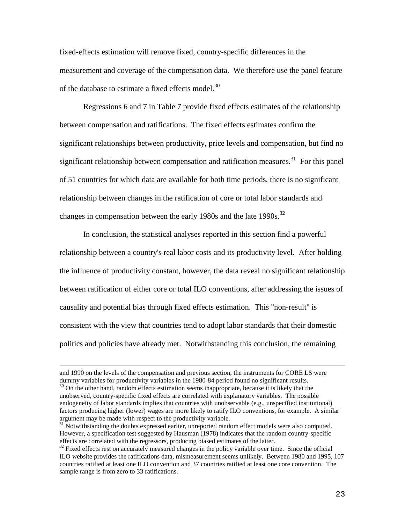fixed-effects estimation will remove fixed, country-specific differences in the measurement and coverage of the compensation data. We therefore use the panel feature of the database to estimate a fixed effects model.<sup>30</sup>

Regressions 6 and 7 in Table 7 provide fixed effects estimates of the relationship between compensation and ratifications. The fixed effects estimates confirm the significant relationships between productivity, price levels and compensation, but find no significant relationship between compensation and ratification measures.<sup>31</sup> For this panel of 51 countries for which data are available for both time periods, there is no significant relationship between changes in the ratification of core or total labor standards and changes in compensation between the early 1980s and the late 1990s.<sup>32</sup>

In conclusion, the statistical analyses reported in this section find a powerful relationship between a country's real labor costs and its productivity level. After holding the influence of productivity constant, however, the data reveal no significant relationship between ratification of either core or total ILO conventions, after addressing the issues of causality and potential bias through fixed effects estimation. This "non-result" is consistent with the view that countries tend to adopt labor standards that their domestic politics and policies have already met. Notwithstanding this conclusion, the remaining

and 1990 on the levels of the compensation and previous section, the instruments for CORE LS were dummy variables for productivity variables in the 1980-84 period found no significant results. <sup>30</sup> On the other hand, random effects estimation seems inappropriate, because it is likely that the unobserved, country-specific fixed effects are correlated with explanatory variables. The possible endogeneity of labor standards implies that countries with unobservable (e.g., unspecified institutional) factors producing higher (lower) wages are more likely to ratify ILO conventions, for example. A similar argument may be made with respect to the productivity variable.

 $31$  Notwithstanding the doubts expressed earlier, unreported random effect models were also computed. However, a specification test suggested by Hausman (1978) indicates that the random country-specific effects are correlated with the regressors, producing biased estimates of the latter.

 $32$  Fixed effects rest on accurately measured changes in the policy variable over time. Since the official ILO website provides the ratifications data, mismeasurement seems unlikely. Between 1980 and 1995, 107 countries ratified at least one ILO convention and 37 countries ratified at least one core convention. The sample range is from zero to 33 ratifications.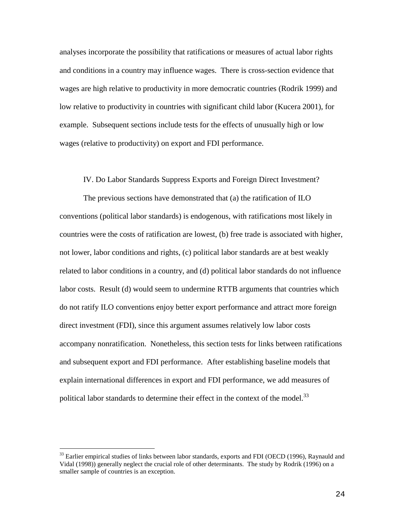analyses incorporate the possibility that ratifications or measures of actual labor rights and conditions in a country may influence wages. There is cross-section evidence that wages are high relative to productivity in more democratic countries (Rodrik 1999) and low relative to productivity in countries with significant child labor (Kucera 2001), for example. Subsequent sections include tests for the effects of unusually high or low wages (relative to productivity) on export and FDI performance.

## IV. Do Labor Standards Suppress Exports and Foreign Direct Investment?

The previous sections have demonstrated that (a) the ratification of ILO conventions (political labor standards) is endogenous, with ratifications most likely in countries were the costs of ratification are lowest, (b) free trade is associated with higher, not lower, labor conditions and rights, (c) political labor standards are at best weakly related to labor conditions in a country, and (d) political labor standards do not influence labor costs. Result (d) would seem to undermine RTTB arguments that countries which do not ratify ILO conventions enjoy better export performance and attract more foreign direct investment (FDI), since this argument assumes relatively low labor costs accompany nonratification. Nonetheless, this section tests for links between ratifications and subsequent export and FDI performance. After establishing baseline models that explain international differences in export and FDI performance, we add measures of political labor standards to determine their effect in the context of the model. $^{33}$ 

<sup>&</sup>lt;sup>33</sup> Earlier empirical studies of links between labor standards, exports and FDI (OECD (1996), Raynauld and Vidal (1998)) generally neglect the crucial role of other determinants. The study by Rodrik (1996) on a smaller sample of countries is an exception.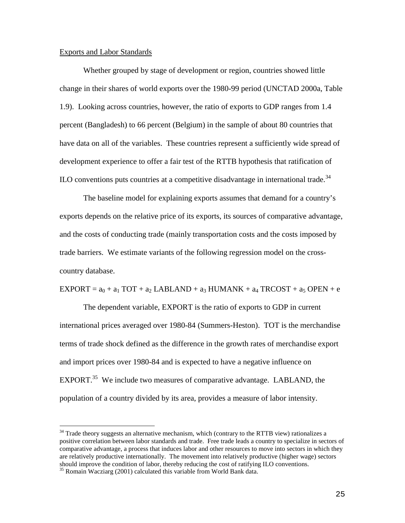### Exports and Labor Standards

Whether grouped by stage of development or region, countries showed little change in their shares of world exports over the 1980-99 period (UNCTAD 2000a, Table 1.9). Looking across countries, however, the ratio of exports to GDP ranges from 1.4 percent (Bangladesh) to 66 percent (Belgium) in the sample of about 80 countries that have data on all of the variables. These countries represent a sufficiently wide spread of development experience to offer a fair test of the RTTB hypothesis that ratification of  $\rm ILO$  conventions puts countries at a competitive disadvantage in international trade.<sup>34</sup>

The baseline model for explaining exports assumes that demand for a country's exports depends on the relative price of its exports, its sources of comparative advantage, and the costs of conducting trade (mainly transportation costs and the costs imposed by trade barriers. We estimate variants of the following regression model on the crosscountry database.

 $EXPORT = a<sub>0</sub> + a<sub>1</sub> TOT + a<sub>2</sub> LABLAND + a<sub>3</sub> HUMANK + a<sub>4</sub> TRCOST + a<sub>5</sub> OPEN + e$ 

The dependent variable, EXPORT is the ratio of exports to GDP in current international prices averaged over 1980-84 (Summers-Heston). TOT is the merchandise terms of trade shock defined as the difference in the growth rates of merchandise export and import prices over 1980-84 and is expected to have a negative influence on EXPORT.<sup>35</sup> We include two measures of comparative advantage. LABLAND, the population of a country divided by its area, provides a measure of labor intensity.

 $34$  Trade theory suggests an alternative mechanism, which (contrary to the RTTB view) rationalizes a positive correlation between labor standards and trade. Free trade leads a country to specialize in sectors of comparative advantage, a process that induces labor and other resources to move into sectors in which they are relatively productive internationally. The movement into relatively productive (higher wage) sectors should improve the condition of labor, thereby reducing the cost of ratifying ILO conventions.

<sup>&</sup>lt;sup>35</sup> Romain Wacziarg (2001) calculated this variable from World Bank data.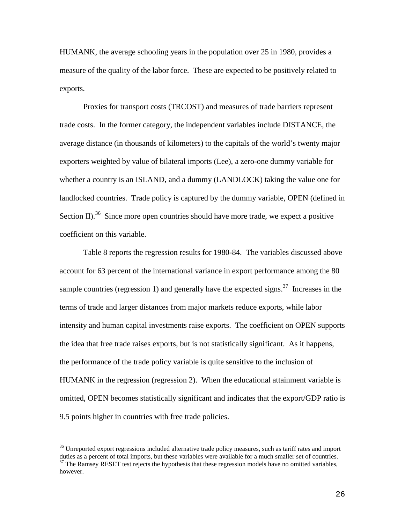HUMANK, the average schooling years in the population over 25 in 1980, provides a measure of the quality of the labor force. These are expected to be positively related to exports.

Proxies for transport costs (TRCOST) and measures of trade barriers represent trade costs. In the former category, the independent variables include DISTANCE, the average distance (in thousands of kilometers) to the capitals of the world's twenty major exporters weighted by value of bilateral imports (Lee), a zero-one dummy variable for whether a country is an ISLAND, and a dummy (LANDLOCK) taking the value one for landlocked countries. Trade policy is captured by the dummy variable, OPEN (defined in Section II).<sup>36</sup> Since more open countries should have more trade, we expect a positive coefficient on this variable.

Table 8 reports the regression results for 1980-84. The variables discussed above account for 63 percent of the international variance in export performance among the 80 sample countries (regression 1) and generally have the expected signs.<sup>37</sup> Increases in the terms of trade and larger distances from major markets reduce exports, while labor intensity and human capital investments raise exports. The coefficient on OPEN supports the idea that free trade raises exports, but is not statistically significant. As it happens, the performance of the trade policy variable is quite sensitive to the inclusion of HUMANK in the regression (regression 2). When the educational attainment variable is omitted, OPEN becomes statistically significant and indicates that the export/GDP ratio is 9.5 points higher in countries with free trade policies.

<sup>&</sup>lt;sup>36</sup> Unreported export regressions included alternative trade policy measures, such as tariff rates and import duties as a percent of total imports, but these variables were available for a much smaller set of countries.  $37$  The Ramsey RESET test rejects the hypothesis that these regression models have no omitted variables, however.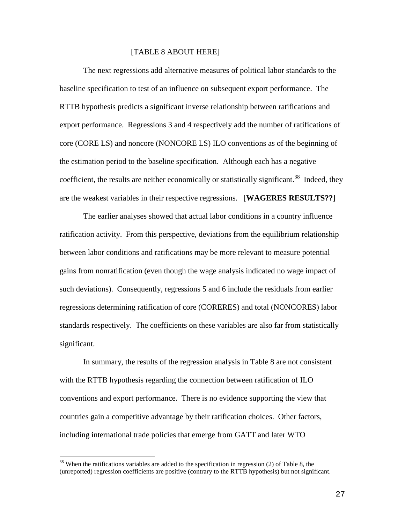### [TABLE 8 ABOUT HERE]

The next regressions add alternative measures of political labor standards to the baseline specification to test of an influence on subsequent export performance. The RTTB hypothesis predicts a significant inverse relationship between ratifications and export performance. Regressions 3 and 4 respectively add the number of ratifications of core (CORE LS) and noncore (NONCORE LS) ILO conventions as of the beginning of the estimation period to the baseline specification. Although each has a negative coefficient, the results are neither economically or statistically significant.<sup>38</sup> Indeed, they are the weakest variables in their respective regressions. [**WAGERES RESULTS??**]

The earlier analyses showed that actual labor conditions in a country influence ratification activity. From this perspective, deviations from the equilibrium relationship between labor conditions and ratifications may be more relevant to measure potential gains from nonratification (even though the wage analysis indicated no wage impact of such deviations). Consequently, regressions 5 and 6 include the residuals from earlier regressions determining ratification of core (CORERES) and total (NONCORES) labor standards respectively. The coefficients on these variables are also far from statistically significant.

In summary, the results of the regression analysis in Table 8 are not consistent with the RTTB hypothesis regarding the connection between ratification of ILO conventions and export performance. There is no evidence supporting the view that countries gain a competitive advantage by their ratification choices. Other factors, including international trade policies that emerge from GATT and later WTO

 $38$  When the ratifications variables are added to the specification in regression (2) of Table 8, the (unreported) regression coefficients are positive (contrary to the RTTB hypothesis) but not significant.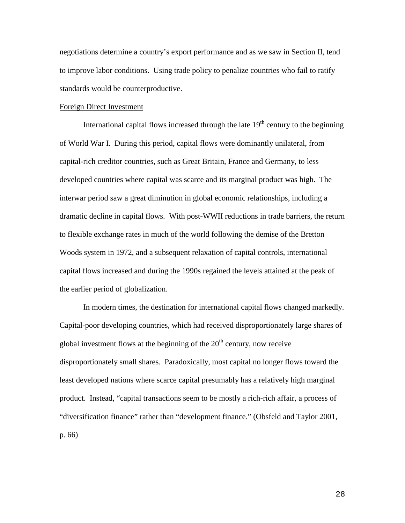negotiations determine a country's export performance and as we saw in Section II, tend to improve labor conditions. Using trade policy to penalize countries who fail to ratify standards would be counterproductive.

### Foreign Direct Investment

International capital flows increased through the late  $19<sup>th</sup>$  century to the beginning of World War I. During this period, capital flows were dominantly unilateral, from capital-rich creditor countries, such as Great Britain, France and Germany, to less developed countries where capital was scarce and its marginal product was high. The interwar period saw a great diminution in global economic relationships, including a dramatic decline in capital flows. With post-WWII reductions in trade barriers, the return to flexible exchange rates in much of the world following the demise of the Bretton Woods system in 1972, and a subsequent relaxation of capital controls, international capital flows increased and during the 1990s regained the levels attained at the peak of the earlier period of globalization.

In modern times, the destination for international capital flows changed markedly. Capital-poor developing countries, which had received disproportionately large shares of global investment flows at the beginning of the  $20<sup>th</sup>$  century, now receive disproportionately small shares. Paradoxically, most capital no longer flows toward the least developed nations where scarce capital presumably has a relatively high marginal product. Instead, "capital transactions seem to be mostly a rich-rich affair, a process of "diversification finance" rather than "development finance." (Obsfeld and Taylor 2001, p. 66)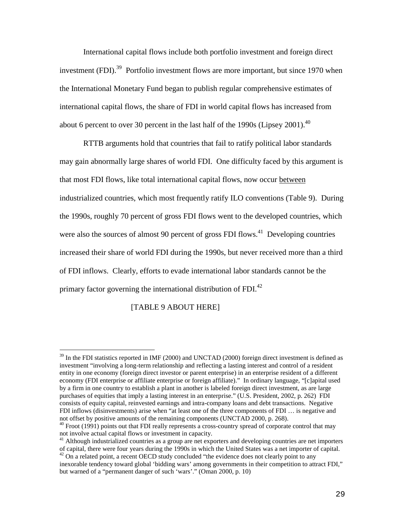International capital flows include both portfolio investment and foreign direct investment (FDI).<sup>39</sup> Portfolio investment flows are more important, but since 1970 when the International Monetary Fund began to publish regular comprehensive estimates of international capital flows, the share of FDI in world capital flows has increased from about 6 percent to over 30 percent in the last half of the 1990s (Lipsey 2001).<sup>40</sup>

RTTB arguments hold that countries that fail to ratify political labor standards may gain abnormally large shares of world FDI. One difficulty faced by this argument is that most FDI flows, like total international capital flows, now occur between industrialized countries, which most frequently ratify ILO conventions (Table 9). During the 1990s, roughly 70 percent of gross FDI flows went to the developed countries, which were also the sources of almost 90 percent of gross FDI flows.<sup>41</sup> Developing countries increased their share of world FDI during the 1990s, but never received more than a third of FDI inflows. Clearly, efforts to evade international labor standards cannot be the primary factor governing the international distribution of FDI.<sup>42</sup>

# [TABLE 9 ABOUT HERE]

 $39$  In the FDI statistics reported in IMF (2000) and UNCTAD (2000) foreign direct investment is defined as investment "involving a long-term relationship and reflecting a lasting interest and control of a resident entity in one economy (foreign direct investor or parent enterprise) in an enterprise resident of a different economy (FDI enterprise or affiliate enterprise or foreign affiliate)." In ordinary language, "[c]apital used by a firm in one country to establish a plant in another is labeled foreign direct investment, as are large purchases of equities that imply a lasting interest in an enterprise." (U.S. President, 2002, p. 262) FDI consists of equity capital, reinvested earnings and intra-company loans and debt transactions. Negative FDI inflows (disinvestments) arise when "at least one of the three components of FDI … is negative and not offset by positive amounts of the remaining components (UNCTAD 2000, p. 268).

 $^{40}$  Froot (1991) points out that FDI really represents a cross-country spread of corporate control that may not involve actual capital flows or investment in capacity.

<sup>&</sup>lt;sup>41</sup> Although industrialized countries as a group are net exporters and developing countries are net importers of capital, there were four years during the 1990s in which the United States was a net importer of capital.  $42$  On a related point, a recent OECD study concluded "the evidence does not clearly point to any

inexorable tendency toward global 'bidding wars' among governments in their competition to attract FDI," but warned of a "permanent danger of such 'wars'." (Oman 2000, p. 10)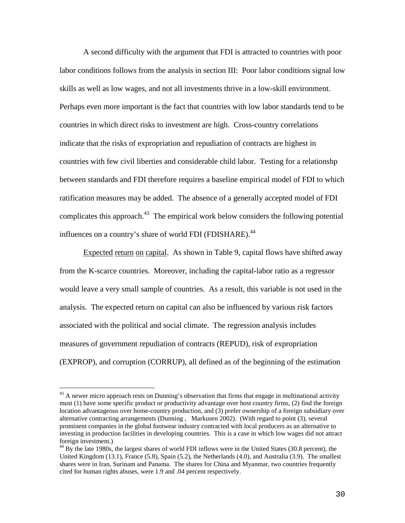A second difficulty with the argument that FDI is attracted to countries with poor labor conditions follows from the analysis in section III: Poor labor conditions signal low skills as well as low wages, and not all investments thrive in a low-skill environment. Perhaps even more important is the fact that countries with low labor standards tend to be countries in which direct risks to investment are high. Cross-country correlations indicate that the risks of expropriation and repudiation of contracts are highest in countries with few civil liberties and considerable child labor. Testing for a relationshp between standards and FDI therefore requires a baseline empirical model of FDI to which ratification measures may be added. The absence of a generally accepted model of FDI complicates this approach.<sup>43</sup> The empirical work below considers the following potential influences on a country's share of world FDI (FDISHARE).<sup>44</sup>

Expected return on capital. As shown in Table 9, capital flows have shifted away from the K-scarce countries. Moreover, including the capital-labor ratio as a regressor would leave a very small sample of countries. As a result, this variable is not used in the analysis. The expected return on capital can also be influenced by various risk factors associated with the political and social climate. The regression analysis includes measures of government repudiation of contracts (REPUD), risk of expropriation (EXPROP), and corruption (CORRUP), all defined as of the beginning of the estimation

 $43$  A newer micro approach rests on Dunning's observation that firms that engage in multinational activity must (1) have some specific product or productivity advantage over host country firms, (2) find the foreign location advantageous over home-country production, and (3) prefer ownership of a foreign subsidiary over alternative contracting arrangements (Dunning , Markusen 2002). (With regard to point (3), several prominent companies in the global footwear industry contracted with local producers as an alternative to investing in production facilities in developing countries. This is a case in which low wages did not attract foreign investment.)

<sup>&</sup>lt;sup>44</sup> By the late 1980s, the largest shares of world FDI inflows were in the United States (30.8 percent), the United Kingdom (13.1), France (5.8), Spain (5.2), the Netherlands (4.0), and Australia (3.9). The smallest shares were in Iran, Surinam and Panama. The shares for China and Myanmar, two countries frequently cited for human rights abuses, were 1.9 and .04 percent respectively.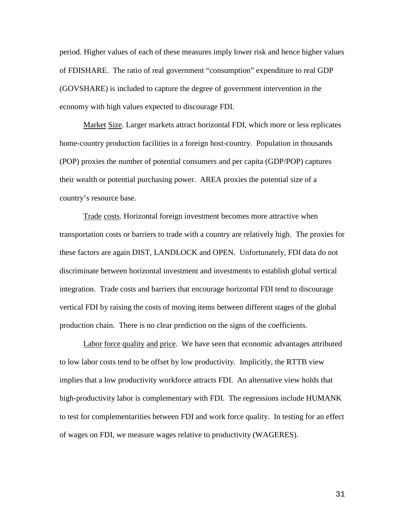period. Higher values of each of these measures imply lower risk and hence higher values of FDISHARE. The ratio of real government "consumption" expenditure to real GDP (GOVSHARE) is included to capture the degree of government intervention in the economy with high values expected to discourage FDI.

Market Size. Larger markets attract horizontal FDI, which more or less replicates home-country production facilities in a foreign host-country. Population in thousands (POP) proxies the number of potential consumers and per capita (GDP/POP) captures their wealth or potential purchasing power. AREA proxies the potential size of a country's resource base.

Trade costs. Horizontal foreign investment becomes more attractive when transportation costs or barriers to trade with a country are relatively high. The proxies for these factors are again DIST, LANDLOCK and OPEN. Unfortunately, FDI data do not discriminate between horizontal investment and investments to establish global vertical integration. Trade costs and barriers that encourage horizontal FDI tend to discourage vertical FDI by raising the costs of moving items between different stages of the global production chain. There is no clear prediction on the signs of the coefficients.

Labor force quality and price. We have seen that economic advantages attributed to low labor costs tend to be offset by low productivity. Implicitly, the RTTB view implies that a low productivity workforce attracts FDI. An alternative view holds that high-productivity labor is complementary with FDI. The regressions include HUMANK to test for complementarities between FDI and work force quality. In testing for an effect of wages on FDI, we measure wages relative to productivity (WAGERES).

31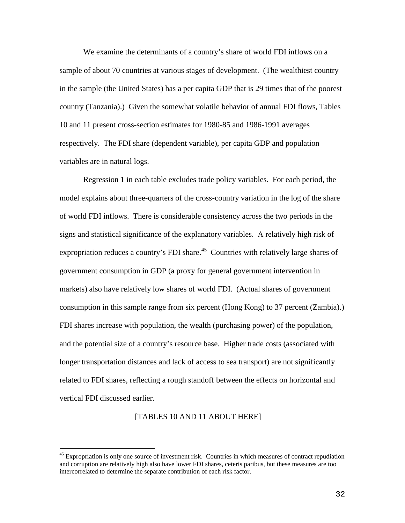We examine the determinants of a country's share of world FDI inflows on a sample of about 70 countries at various stages of development. (The wealthiest country in the sample (the United States) has a per capita GDP that is 29 times that of the poorest country (Tanzania).) Given the somewhat volatile behavior of annual FDI flows, Tables 10 and 11 present cross-section estimates for 1980-85 and 1986-1991 averages respectively. The FDI share (dependent variable), per capita GDP and population variables are in natural logs.

Regression 1 in each table excludes trade policy variables. For each period, the model explains about three-quarters of the cross-country variation in the log of the share of world FDI inflows. There is considerable consistency across the two periods in the signs and statistical significance of the explanatory variables. A relatively high risk of expropriation reduces a country's FDI share.<sup>45</sup> Countries with relatively large shares of government consumption in GDP (a proxy for general government intervention in markets) also have relatively low shares of world FDI. (Actual shares of government consumption in this sample range from six percent (Hong Kong) to 37 percent (Zambia).) FDI shares increase with population, the wealth (purchasing power) of the population, and the potential size of a country's resource base. Higher trade costs (associated with longer transportation distances and lack of access to sea transport) are not significantly related to FDI shares, reflecting a rough standoff between the effects on horizontal and vertical FDI discussed earlier.

#### [TABLES 10 AND 11 ABOUT HERE]

<sup>&</sup>lt;sup>45</sup> Expropriation is only one source of investment risk. Countries in which measures of contract repudiation and corruption are relatively high also have lower FDI shares, ceteris paribus, but these measures are too intercorrelated to determine the separate contribution of each risk factor.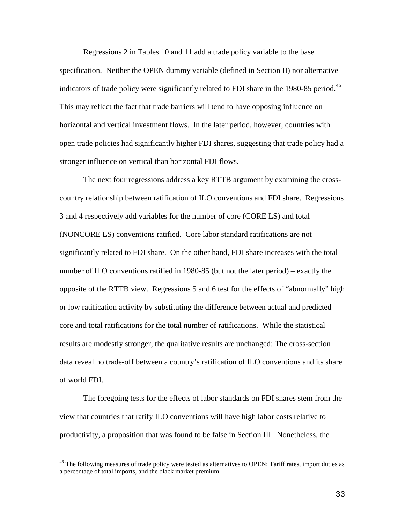Regressions 2 in Tables 10 and 11 add a trade policy variable to the base specification. Neither the OPEN dummy variable (defined in Section II) nor alternative indicators of trade policy were significantly related to FDI share in the 1980-85 period.<sup>46</sup> This may reflect the fact that trade barriers will tend to have opposing influence on horizontal and vertical investment flows. In the later period, however, countries with open trade policies had significantly higher FDI shares, suggesting that trade policy had a stronger influence on vertical than horizontal FDI flows.

The next four regressions address a key RTTB argument by examining the crosscountry relationship between ratification of ILO conventions and FDI share. Regressions 3 and 4 respectively add variables for the number of core (CORE LS) and total (NONCORE LS) conventions ratified. Core labor standard ratifications are not significantly related to FDI share. On the other hand, FDI share increases with the total number of ILO conventions ratified in 1980-85 (but not the later period) – exactly the opposite of the RTTB view. Regressions 5 and 6 test for the effects of "abnormally" high or low ratification activity by substituting the difference between actual and predicted core and total ratifications for the total number of ratifications. While the statistical results are modestly stronger, the qualitative results are unchanged: The cross-section data reveal no trade-off between a country's ratification of ILO conventions and its share of world FDI.

The foregoing tests for the effects of labor standards on FDI shares stem from the view that countries that ratify ILO conventions will have high labor costs relative to productivity, a proposition that was found to be false in Section III. Nonetheless, the

<sup>&</sup>lt;sup>46</sup> The following measures of trade policy were tested as alternatives to OPEN: Tariff rates, import duties as a percentage of total imports, and the black market premium.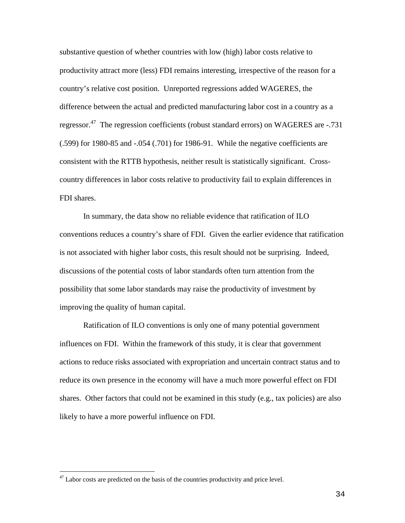substantive question of whether countries with low (high) labor costs relative to productivity attract more (less) FDI remains interesting, irrespective of the reason for a country's relative cost position. Unreported regressions added WAGERES, the difference between the actual and predicted manufacturing labor cost in a country as a regressor.<sup>47</sup> The regression coefficients (robust standard errors) on WAGERES are -.731 (.599) for 1980-85 and -.054 (.701) for 1986-91. While the negative coefficients are consistent with the RTTB hypothesis, neither result is statistically significant. Crosscountry differences in labor costs relative to productivity fail to explain differences in FDI shares.

In summary, the data show no reliable evidence that ratification of ILO conventions reduces a country's share of FDI. Given the earlier evidence that ratification is not associated with higher labor costs, this result should not be surprising. Indeed, discussions of the potential costs of labor standards often turn attention from the possibility that some labor standards may raise the productivity of investment by improving the quality of human capital.

Ratification of ILO conventions is only one of many potential government influences on FDI. Within the framework of this study, it is clear that government actions to reduce risks associated with expropriation and uncertain contract status and to reduce its own presence in the economy will have a much more powerful effect on FDI shares. Other factors that could not be examined in this study (e.g., tax policies) are also likely to have a more powerful influence on FDI.

 $47$  Labor costs are predicted on the basis of the countries productivity and price level.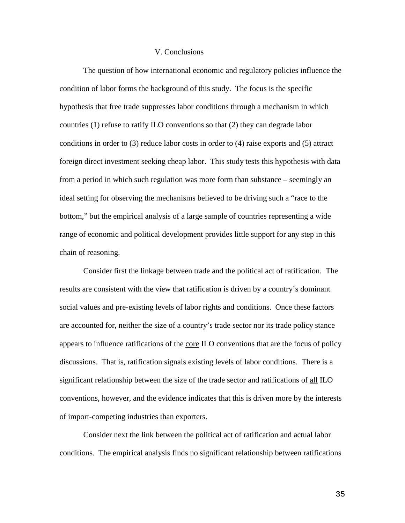### V. Conclusions

The question of how international economic and regulatory policies influence the condition of labor forms the background of this study. The focus is the specific hypothesis that free trade suppresses labor conditions through a mechanism in which countries (1) refuse to ratify ILO conventions so that (2) they can degrade labor conditions in order to (3) reduce labor costs in order to (4) raise exports and (5) attract foreign direct investment seeking cheap labor. This study tests this hypothesis with data from a period in which such regulation was more form than substance – seemingly an ideal setting for observing the mechanisms believed to be driving such a "race to the bottom," but the empirical analysis of a large sample of countries representing a wide range of economic and political development provides little support for any step in this chain of reasoning.

Consider first the linkage between trade and the political act of ratification. The results are consistent with the view that ratification is driven by a country's dominant social values and pre-existing levels of labor rights and conditions. Once these factors are accounted for, neither the size of a country's trade sector nor its trade policy stance appears to influence ratifications of the core ILO conventions that are the focus of policy discussions. That is, ratification signals existing levels of labor conditions. There is a significant relationship between the size of the trade sector and ratifications of all ILO conventions, however, and the evidence indicates that this is driven more by the interests of import-competing industries than exporters.

Consider next the link between the political act of ratification and actual labor conditions. The empirical analysis finds no significant relationship between ratifications

35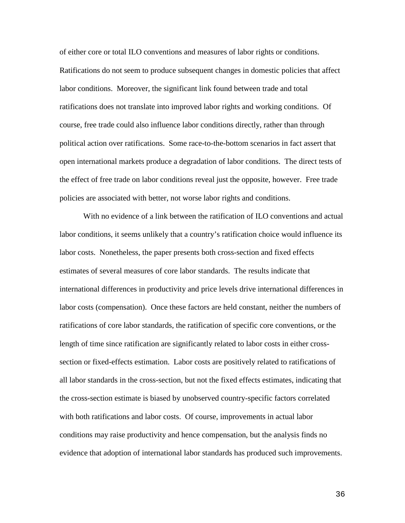of either core or total ILO conventions and measures of labor rights or conditions. Ratifications do not seem to produce subsequent changes in domestic policies that affect labor conditions. Moreover, the significant link found between trade and total ratifications does not translate into improved labor rights and working conditions. Of course, free trade could also influence labor conditions directly, rather than through political action over ratifications. Some race-to-the-bottom scenarios in fact assert that open international markets produce a degradation of labor conditions. The direct tests of the effect of free trade on labor conditions reveal just the opposite, however. Free trade policies are associated with better, not worse labor rights and conditions.

With no evidence of a link between the ratification of ILO conventions and actual labor conditions, it seems unlikely that a country's ratification choice would influence its labor costs. Nonetheless, the paper presents both cross-section and fixed effects estimates of several measures of core labor standards. The results indicate that international differences in productivity and price levels drive international differences in labor costs (compensation). Once these factors are held constant, neither the numbers of ratifications of core labor standards, the ratification of specific core conventions, or the length of time since ratification are significantly related to labor costs in either crosssection or fixed-effects estimation. Labor costs are positively related to ratifications of all labor standards in the cross-section, but not the fixed effects estimates, indicating that the cross-section estimate is biased by unobserved country-specific factors correlated with both ratifications and labor costs. Of course, improvements in actual labor conditions may raise productivity and hence compensation, but the analysis finds no evidence that adoption of international labor standards has produced such improvements.

36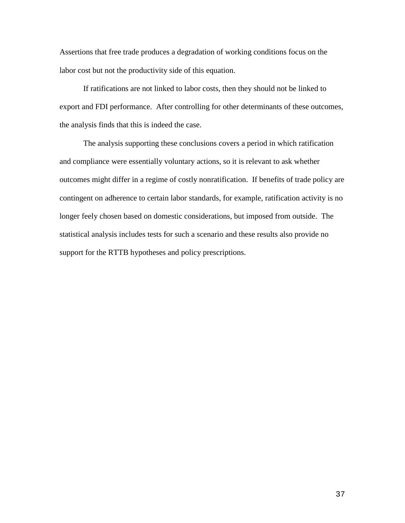Assertions that free trade produces a degradation of working conditions focus on the labor cost but not the productivity side of this equation.

If ratifications are not linked to labor costs, then they should not be linked to export and FDI performance. After controlling for other determinants of these outcomes, the analysis finds that this is indeed the case.

The analysis supporting these conclusions covers a period in which ratification and compliance were essentially voluntary actions, so it is relevant to ask whether outcomes might differ in a regime of costly nonratification. If benefits of trade policy are contingent on adherence to certain labor standards, for example, ratification activity is no longer feely chosen based on domestic considerations, but imposed from outside. The statistical analysis includes tests for such a scenario and these results also provide no support for the RTTB hypotheses and policy prescriptions.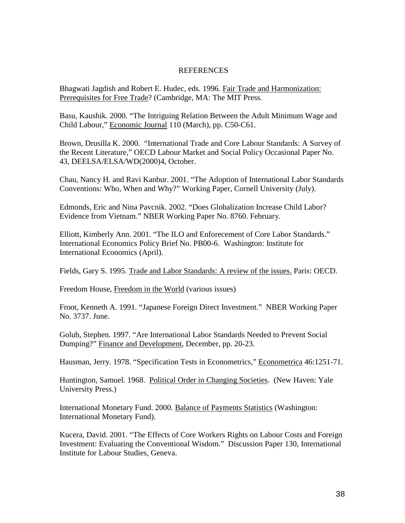## REFERENCES

Bhagwati Jagdish and Robert E. Hudec, eds. 1996. Fair Trade and Harmonization: Prerequisites for Free Trade? (Cambridge, MA: The MIT Press.

Basu, Kaushik. 2000. "The Intriguing Relation Between the Adult Minimum Wage and Child Labour," Economic Journal 110 (March), pp. C50-C61.

Brown, Drusilla K. 2000. "International Trade and Core Labour Standards: A Survey of the Recent Literature," OECD Labour Market and Social Policy Occasional Paper No. 43, DEELSA/ELSA/WD(2000)4, October.

Chau, Nancy H. and Ravi Kanbur. 2001. "The Adoption of International Labor Standards Conventions: Who, When and Why?" Working Paper, Cornell University (July).

Edmonds, Eric and Nina Pavcnik. 2002. "Does Globalization Increase Child Labor? Evidence from Vietnam." NBER Working Paper No. 8760. February.

Elliott, Kimberly Ann. 2001. "The ILO and Enforecement of Core Labor Standards." International Economics Policy Brief No. PB00-6. Washington: Institute for International Economics (April).

Fields, Gary S. 1995. Trade and Labor Standards: A review of the issues. Paris: OECD.

Freedom House, Freedom in the World (various issues)

Froot, Kenneth A. 1991. "Japanese Foreign Direct Investment." NBER Working Paper No. 3737. June.

Golub, Stephen. 1997. "Are International Labor Standards Needed to Prevent Social Dumping?" Finance and Development, December, pp. 20-23.

Hausman, Jerry. 1978. "Specification Tests in Econometrics," Econometrica 46:1251-71.

Huntington, Samuel. 1968. Political Order in Changing Societies. (New Haven: Yale University Press.)

International Monetary Fund. 2000. Balance of Payments Statistics (Washington: International Monetary Fund).

Kucera, David. 2001. "The Effects of Core Workers Rights on Labour Costs and Foreign Investment: Evaluating the Conventional Wisdom." Discussion Paper 130, International Institute for Labour Studies, Geneva.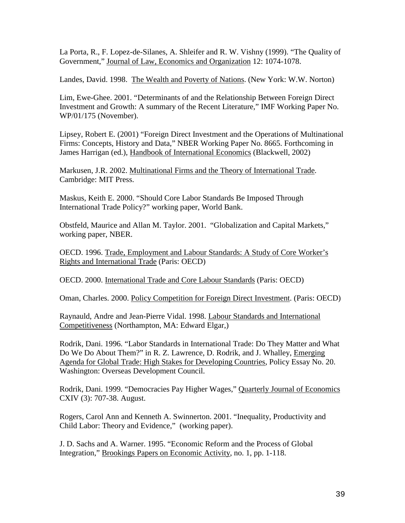La Porta, R., F. Lopez-de-Silanes, A. Shleifer and R. W. Vishny (1999). "The Quality of Government," Journal of Law, Economics and Organization 12: 1074-1078.

Landes, David. 1998. The Wealth and Poverty of Nations. (New York: W.W. Norton)

Lim, Ewe-Ghee. 2001. "Determinants of and the Relationship Between Foreign Direct Investment and Growth: A summary of the Recent Literature," IMF Working Paper No. WP/01/175 (November).

Lipsey, Robert E. (2001) "Foreign Direct Investment and the Operations of Multinational Firms: Concepts, History and Data," NBER Working Paper No. 8665. Forthcoming in James Harrigan (ed.), Handbook of International Economics (Blackwell, 2002)

Markusen, J.R. 2002. Multinational Firms and the Theory of International Trade. Cambridge: MIT Press.

Maskus, Keith E. 2000. "Should Core Labor Standards Be Imposed Through International Trade Policy?" working paper, World Bank.

Obstfeld, Maurice and Allan M. Taylor. 2001. "Globalization and Capital Markets," working paper, NBER.

OECD. 1996. Trade, Employment and Labour Standards: A Study of Core Worker's Rights and International Trade (Paris: OECD)

OECD. 2000. International Trade and Core Labour Standards (Paris: OECD)

Oman, Charles. 2000. Policy Competition for Foreign Direct Investment. (Paris: OECD)

Raynauld, Andre and Jean-Pierre Vidal. 1998. Labour Standards and International Competitiveness (Northampton, MA: Edward Elgar,)

Rodrik, Dani. 1996. "Labor Standards in International Trade: Do They Matter and What Do We Do About Them?" in R. Z. Lawrence, D. Rodrik, and J. Whalley, Emerging Agenda for Global Trade: High Stakes for Developing Countries, Policy Essay No. 20. Washington: Overseas Development Council.

Rodrik, Dani. 1999. "Democracies Pay Higher Wages," Quarterly Journal of Economics CXIV (3): 707-38. August.

Rogers, Carol Ann and Kenneth A. Swinnerton. 2001. "Inequality, Productivity and Child Labor: Theory and Evidence," (working paper).

J. D. Sachs and A. Warner. 1995. "Economic Reform and the Process of Global Integration," Brookings Papers on Economic Activity, no. 1, pp. 1-118.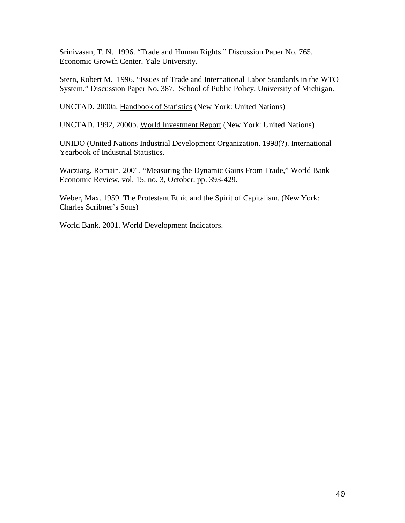Srinivasan, T. N. 1996. "Trade and Human Rights." Discussion Paper No. 765. Economic Growth Center, Yale University.

Stern, Robert M. 1996. "Issues of Trade and International Labor Standards in the WTO System." Discussion Paper No. 387. School of Public Policy, University of Michigan.

UNCTAD. 2000a. Handbook of Statistics (New York: United Nations)

UNCTAD. 1992, 2000b. World Investment Report (New York: United Nations)

UNIDO (United Nations Industrial Development Organization. 1998(?). International Yearbook of Industrial Statistics.

Wacziarg, Romain. 2001. "Measuring the Dynamic Gains From Trade," World Bank Economic Review, vol. 15. no. 3, October. pp. 393-429.

Weber, Max. 1959. The Protestant Ethic and the Spirit of Capitalism. (New York: Charles Scribner's Sons)

World Bank. 2001. World Development Indicators.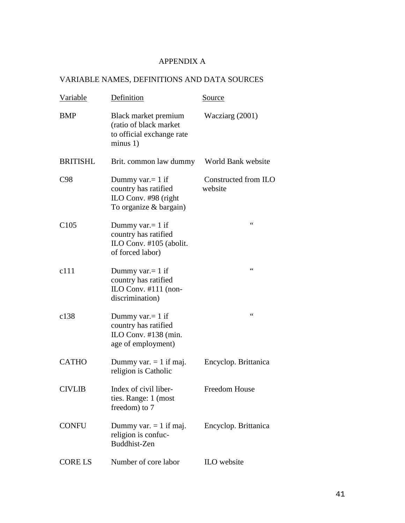# APPENDIX A

# VARIABLE NAMES, DEFINITIONS AND DATA SOURCES

| <b>Variable</b>  | Definition                                                                                    | <u>Source</u>                   |
|------------------|-----------------------------------------------------------------------------------------------|---------------------------------|
| <b>BMP</b>       | Black market premium<br>(ratio of black market<br>to official exchange rate<br>minus 1)       | Wacziarg (2001)                 |
| <b>BRITISHL</b>  | Brit. common law dummy                                                                        | World Bank website              |
| C98              | Dummy var. $= 1$ if<br>country has ratified<br>ILO Conv. #98 (right<br>To organize & bargain) | Constructed from ILO<br>website |
| C <sub>105</sub> | Dummy var. $= 1$ if<br>country has ratified<br>ILO Conv. #105 (abolit.<br>of forced labor)    | $\zeta$ $\zeta$                 |
| c111             | Dummy var. $= 1$ if<br>country has ratified<br>ILO Conv. $#111$ (non-<br>discrimination)      | $\zeta$ $\zeta$                 |
| c138             | Dummy var. $= 1$ if<br>country has ratified<br>ILO Conv. #138 (min.<br>age of employment)     | $\zeta$ $\zeta$                 |
| <b>CATHO</b>     | Dummy var. $= 1$ if maj.<br>religion is Catholic                                              | Encyclop. Brittanica            |
| <b>CIVLIB</b>    | Index of civil liber-<br>ties. Range: 1 (most<br>freedom) to 7                                | <b>Freedom House</b>            |
| <b>CONFU</b>     | Dummy var. $= 1$ if maj.<br>religion is confuc-<br>Buddhist-Zen                               | Encyclop. Brittanica            |
| <b>CORE LS</b>   | Number of core labor                                                                          | ILO website                     |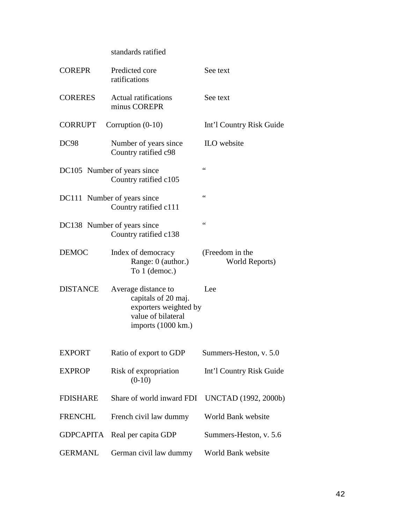# standards ratified

| <b>COREPR</b>    | Predicted core<br>ratifications                                                                                 | See text                          |
|------------------|-----------------------------------------------------------------------------------------------------------------|-----------------------------------|
| <b>CORERES</b>   | <b>Actual ratifications</b><br>minus COREPR                                                                     | See text                          |
| <b>CORRUPT</b>   | Corruption $(0-10)$                                                                                             | Int'l Country Risk Guide          |
| DC98             | Number of years since<br>Country ratified c98                                                                   | ILO website                       |
|                  | DC105 Number of years since<br>Country ratified c105                                                            | $\leq$                            |
|                  | DC111 Number of years since<br>Country ratified c111                                                            | $\leq$ $\leq$                     |
|                  | DC138 Number of years since<br>Country ratified c138                                                            | $\epsilon$                        |
| <b>DEMOC</b>     | Index of democracy<br>Range: 0 (author.)<br>To 1 (democ.)                                                       | (Freedom in the<br>World Reports) |
| <b>DISTANCE</b>  | Average distance to<br>capitals of 20 maj.<br>exporters weighted by<br>value of bilateral<br>imports (1000 km.) | Lee                               |
| <b>EXPORT</b>    | Ratio of export to GDP                                                                                          | Summers-Heston, v. 5.0            |
| <b>EXPROP</b>    | Risk of expropriation<br>$(0-10)$                                                                               | Int'l Country Risk Guide          |
| <b>FDISHARE</b>  | Share of world inward FDI                                                                                       | UNCTAD (1992, 2000b)              |
| <b>FRENCHL</b>   | French civil law dummy                                                                                          | World Bank website                |
| <b>GDPCAPITA</b> | Real per capita GDP                                                                                             | Summers-Heston, v. 5.6            |
| <b>GERMANL</b>   | German civil law dummy                                                                                          | World Bank website                |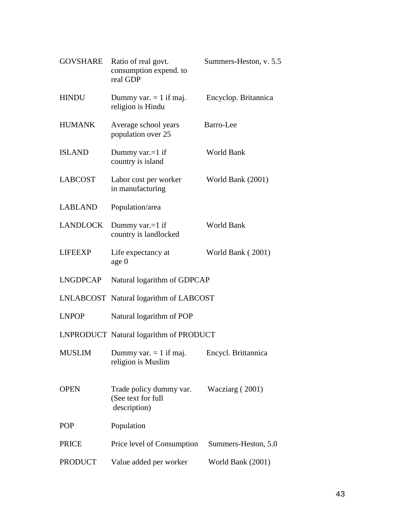| GOVSHARE        | Ratio of real govt.<br>consumption expend. to<br>real GDP     | Summers-Heston, v. 5.5 |
|-----------------|---------------------------------------------------------------|------------------------|
| <b>HINDU</b>    | Dummy var. $= 1$ if maj.<br>religion is Hindu                 | Encyclop. Britannica   |
| <b>HUMANK</b>   | Average school years<br>population over 25                    | Barro-Lee              |
| <b>ISLAND</b>   | Dummy var. $=1$ if<br>country is island                       | World Bank             |
| <b>LABCOST</b>  | Labor cost per worker<br>in manufacturing                     | World Bank (2001)      |
| <b>LABLAND</b>  | Population/area                                               |                        |
| <b>LANDLOCK</b> | Dummy var. $=1$ if<br>country is landlocked                   | World Bank             |
| <b>LIFEEXP</b>  | Life expectancy at<br>age 0                                   | World Bank (2001)      |
| <b>LNGDPCAP</b> | Natural logarithm of GDPCAP                                   |                        |
|                 | LNLABCOST Natural logarithm of LABCOST                        |                        |
| <b>LNPOP</b>    | Natural logarithm of POP                                      |                        |
|                 | LNPRODUCT Natural logarithm of PRODUCT                        |                        |
| MUSLIM          | Dummy var. $= 1$ if maj.<br>religion is Muslim                | Encycl. Brittannica    |
| <b>OPEN</b>     | Trade policy dummy var.<br>(See text for full<br>description) | Wacziarg (2001)        |
| <b>POP</b>      | Population                                                    |                        |
| <b>PRICE</b>    | Price level of Consumption                                    | Summers-Heston, 5.0    |
| <b>PRODUCT</b>  | Value added per worker                                        | World Bank (2001)      |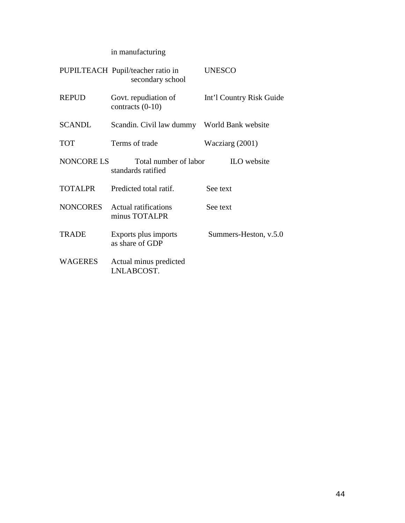# in manufacturing

|                 | PUPILTEACH Pupil/teacher ratio in<br>secondary school | <b>UNESCO</b>            |
|-----------------|-------------------------------------------------------|--------------------------|
| <b>REPUD</b>    | Govt. repudiation of<br>contracts $(0-10)$            | Int'l Country Risk Guide |
| <b>SCANDL</b>   | Scandin. Civil law dummy World Bank website           |                          |
| <b>TOT</b>      | Terms of trade                                        | Wacziarg (2001)          |
| NONCORE LS      | Total number of labor<br>standards ratified           | ILO website              |
| <b>TOTALPR</b>  | Predicted total ratif.                                | See text                 |
| <b>NONCORES</b> | Actual ratifications<br>minus TOTALPR                 | See text.                |
| <b>TRADE</b>    | Exports plus imports<br>as share of GDP               | Summers-Heston, v.5.0    |
| <b>WAGERES</b>  | Actual minus predicted<br>LNLABCOST.                  |                          |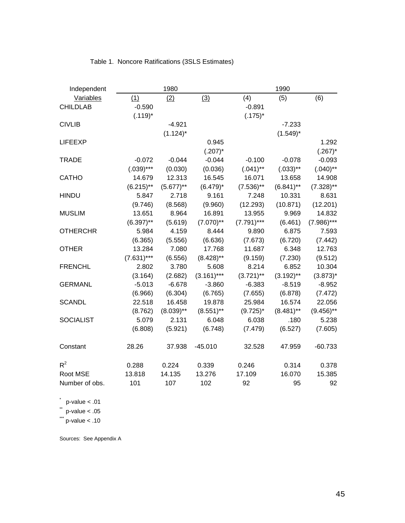| Independent      |               | 1980         |              |              | 1990         |               |
|------------------|---------------|--------------|--------------|--------------|--------------|---------------|
| Variables        | (1)           | (2)          | (3)          | (4)          | (5)          | (6)           |
| <b>CHILDLAB</b>  | $-0.590$      |              |              | $-0.891$     |              |               |
|                  | $(.119)^*$    |              |              | $(.175)^*$   |              |               |
| <b>CIVLIB</b>    |               | $-4.921$     |              |              | $-7.233$     |               |
|                  |               | $(1.124)^*$  |              |              | $(1.549)^*$  |               |
| <b>LIFEEXP</b>   |               |              | 0.945        |              |              | 1.292         |
|                  |               |              | $(.207)^*$   |              |              | $(.267)^*$    |
| <b>TRADE</b>     | $-0.072$      | $-0.044$     | $-0.044$     | $-0.100$     | $-0.078$     | $-0.093$      |
|                  | $(.039)***$   | (0.030)      | (0.036)      | $(.041)$ **  | $(.033)$ **  | $(.040)$ **   |
| CATHO            | 14.679        | 12.313       | 16.545       | 16.071       | 13.658       | 14.908        |
|                  | $(6.215)$ **  | $(5.677)$ ** | $(6.479)^*$  | $(7.536)$ ** | $(6.841)$ ** | $(7.328)$ **  |
| <b>HINDU</b>     | 5.847         | 2.718        | 9.161        | 7.248        | 10.331       | 8.631         |
|                  | (9.746)       | (8.568)      | (9.960)      | (12.293)     | (10.871)     | (12.201)      |
| <b>MUSLIM</b>    | 13.651        | 8.964        | 16.891       | 13.955       | 9.969        | 14.832        |
|                  | $(6.397)$ **  | (5.619)      | $(7.070)$ ** | $(7.791)***$ | (6.461)      | $(7.986)$ *** |
| <b>OTHERCHR</b>  | 5.984         | 4.159        | 8.444        | 9.890        | 6.875        | 7.593         |
|                  | (6.365)       | (5.556)      | (6.636)      | (7.673)      | (6.720)      | (7.442)       |
| <b>OTHER</b>     | 13.284        | 7.080        | 17.768       | 11.687       | 6.348        | 12.763        |
|                  | $(7.631)$ *** | (6.556)      | $(8.428)$ ** | (9.159)      | (7.230)      | (9.512)       |
| <b>FRENCHL</b>   | 2.802         | 3.780        | 5.608        | 8.214        | 6.852        | 10.304        |
|                  | (3.164)       | (2.682)      | $(3.161)***$ | $(3.721)$ ** | $(3.192)$ ** | $(3.873)^*$   |
| <b>GERMANL</b>   | $-5.013$      | $-6.678$     | $-3.860$     | $-6.383$     | $-8.519$     | $-8.952$      |
|                  | (6.966)       | (6.304)      | (6.765)      | (7.655)      | (6.878)      | (7.472)       |
| <b>SCANDL</b>    | 22.518        | 16.458       | 19.878       | 25.984       | 16.574       | 22.056        |
|                  | (8.762)       | $(8.039)$ ** | $(8.551)$ ** | $(9.725)^*$  | $(8.481)$ ** | $(9.456)$ **  |
| <b>SOCIALIST</b> | 5.079         | 2.131        | 6.048        | 6.038        | .180         | 5.238         |
|                  | (6.808)       | (5.921)      | (6.748)      | (7.479)      | (6.527)      | (7.605)       |
| Constant         | 28.26         | 37.938       | $-45.010$    | 32.528       | 47.959       | $-60.733$     |
| $R^2$            | 0.288         | 0.224        | 0.339        | 0.246        | 0.314        | 0.378         |
| Root MSE         | 13.818        | 14.135       | 13.276       | 17.109       | 16.070       | 15.385        |
| Number of obs.   | 101           | 107          | 102          | 92           | 95           | 92            |

 $p$ -value < .01

 $*$  p-value < .05

 $\dddot{ }$  p-value < .10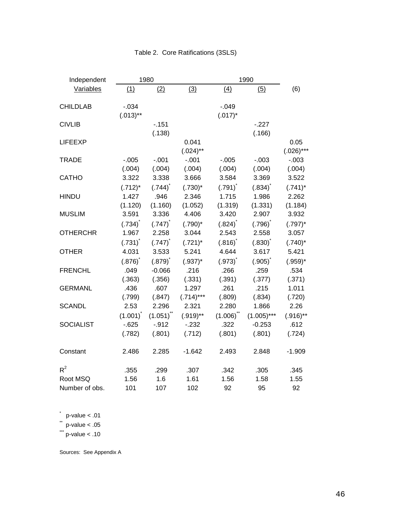| Independent      |                       | 1980                  |             |                        | 1990                   |             |
|------------------|-----------------------|-----------------------|-------------|------------------------|------------------------|-------------|
| Variables        | (1)                   | (2)                   | (3)         | (4)                    | (5)                    | (6)         |
|                  |                       |                       |             |                        |                        |             |
| <b>CHILDLAB</b>  | $-0.034$              |                       |             | $-0.049$               |                        |             |
|                  | $(.013)$ **           |                       |             | $(.017)^*$             |                        |             |
| <b>CIVLIB</b>    |                       | $-.151$               |             |                        | $-227$                 |             |
|                  |                       | (.138)                |             |                        | (.166)                 |             |
| <b>LIFEEXP</b>   |                       |                       | 0.041       |                        |                        | 0.05        |
|                  |                       |                       | $(.024)$ ** |                        |                        | $(.026)***$ |
| <b>TRADE</b>     | $-0.005$              | $-.001$               | $-.001$     | $-0.005$               | $-.003$                | $-.003$     |
|                  | (.004)                | (.004)                | (.004)      | (.004)                 | (.004)                 | (.004)      |
| <b>CATHO</b>     | 3.322                 | 3.338                 | 3.666       | 3.584                  | 3.369                  | 3.522       |
|                  | $(.712)^*$            | $(.744)$ <sup>*</sup> | $(.730)^*$  | $(.791)$ <sup>*</sup>  | $(.834)$ <sup>*</sup>  | $(.741)^*$  |
| <b>HINDU</b>     | 1.427                 | .946                  | 2.346       | 1.715                  | 1.986                  | 2.262       |
|                  | (1.120)               | (1.160)               | (1.052)     | (1.319)                | (1.331)                | (1.184)     |
| <b>MUSLIM</b>    | 3.591                 | 3.336                 | 4.406       | 3.420                  | 2.907                  | 3.932       |
|                  | $(.734)^{^*}$         | $(.747)^{^{\circ}}$   | $(.790)^*$  | $(.824)^{^{\text{*}}}$ | $(.796)^{^{\circ}}$    | $(.797)^*$  |
| <b>OTHERCHR</b>  | 1.967                 | 2.258                 | 3.044       | 2.543                  | 2.558                  | 3.057       |
|                  | $(.731)$ <sup>*</sup> | $(.747)$ <sup>*</sup> | $(.721)^*$  | $(.816)^{^{\circ}}$    | $(.830)^{^{\text{*}}}$ | $(.740)^*$  |
| <b>OTHER</b>     | 4.031                 | 3.533                 | 5.241       | 4.644                  | 3.617                  | 5.421       |
|                  | $(.876)$ <sup>*</sup> | $(.879)$ <sup>*</sup> | $(.937)^*$  | $(.973)^{^{\text{*}}}$ | $(.905)^{^{\circ}}$    | $(.959)^*$  |
| <b>FRENCHL</b>   | .049                  | $-0.066$              | .216        | .266                   | .259                   | .534        |
|                  | (.363)                | (.356)                | (.331)      | (.391)                 | (.377)                 | (.371)      |
| <b>GERMANL</b>   | .436                  | .607                  | 1.297       | .261                   | .215                   | 1.011       |
|                  | (.799)                | (.847)                | $(.714)***$ | (.809)                 | (.834)                 | (.720)      |
| <b>SCANDL</b>    | 2.53                  | 2.296                 | 2.321       | 2.280                  | 1.866                  | 2.26        |
|                  | $(1.001)^{^{\circ}}$  | $(1.051)^{n}$         | $(.919)$ ** | $(1.006)^{11}$         | $(1.005)***$           | $(.916)$ ** |
| <b>SOCIALIST</b> | $-0.625$              | $-.912$               | $-232$      | .322                   | $-0.253$               | .612        |
|                  | (.782)                | (.801)                | (.712)      | (.801)                 | (.801)                 | (.724)      |
| Constant         | 2.486                 | 2.285                 | $-1.642$    | 2.493                  | 2.848                  | $-1.909$    |
| $R^2$            | .355                  | .299                  | .307        | .342                   | .305                   | .345        |
| Root MSQ         | 1.56                  | 1.6                   | 1.61        | 1.56                   | 1.58                   | 1.55        |
| Number of obs.   | 101                   | 107                   | 102         | 92                     | 95                     | 92          |

# Table 2. Core Ratifications (3SLS)

 $p$ -value < .01

 $*$  p-value < .05

 $\dddot{ }$  p-value < .10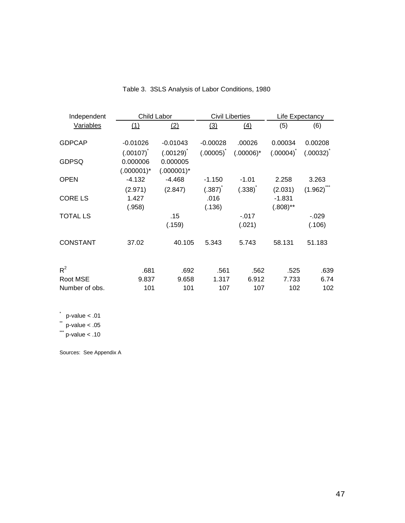| Independent     | Child Labor           |               | <b>Civil Liberties</b> |                        | Life Expectancy     |               |
|-----------------|-----------------------|---------------|------------------------|------------------------|---------------------|---------------|
| Variables       | (1)                   | (2)           | (3)                    | (4)                    | (5)                 | (6)           |
| <b>GDPCAP</b>   | $-0.01026$            | $-0.01043$    | $-0.00028$             | .00026                 | 0.00034             | 0.00208       |
|                 | $(.00107)^{^{\circ}}$ | $(.00129)^T$  | $(.00005)^{\hat{}}$    | $(.00006)^*$           | $(.00004)^{\hat{}}$ | $(.00032)^T$  |
| <b>GDPSQ</b>    | 0.000006              | 0.000005      |                        |                        |                     |               |
|                 | $(.000001)^*$         | $(.000001)^*$ |                        |                        |                     |               |
| <b>OPEN</b>     | $-4.132$              | $-4.468$      | $-1.150$               | $-1.01$                | 2.258               | 3.263         |
|                 | (2.971)               | (2.847)       | $(.387)^{^{\text{t}}}$ | $(.338)^{^{\text{t}}}$ | (2.031)             | $(1.962)^{m}$ |
| <b>CORE LS</b>  | 1.427                 |               | .016                   |                        | $-1.831$            |               |
|                 | (.958)                |               | (.136)                 |                        | $(.808)$ **         |               |
| <b>TOTAL LS</b> |                       | .15           |                        | $-.017$                |                     | $-0.029$      |
|                 |                       | (.159)        |                        | (.021)                 |                     | (.106)        |
| <b>CONSTANT</b> | 37.02                 | 40.105        | 5.343                  | 5.743                  | 58.131              | 51.183        |
| $R^2$           | .681                  | .692          | .561                   | .562                   | .525                | .639          |
| Root MSE        | 9.837                 | 9.658         | 1.317                  | 6.912                  | 7.733               | 6.74          |
| Number of obs.  | 101                   | 101           | 107                    | 107                    | 102                 | 102           |

Table 3. 3SLS Analysis of Labor Conditions, 1980

 $p$ -value < .01

 $*$  p-value < .05

 $\dddot{ }$  p-value < .10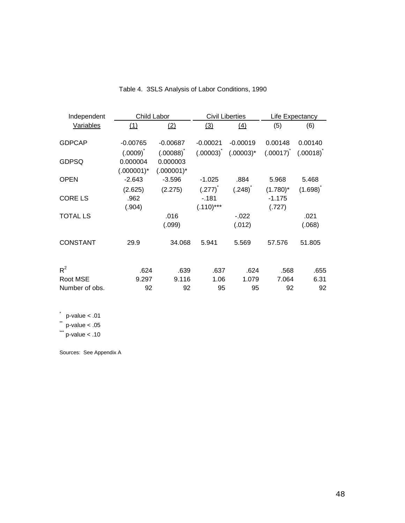| Independent      | Child Labor   |               | <b>Civil Liberties</b> |                               | Life Expectancy |                         |
|------------------|---------------|---------------|------------------------|-------------------------------|-----------------|-------------------------|
| <b>Variables</b> | (1)           | (2)           | (3)                    | (4)                           | (5)             | (6)                     |
| <b>GDPCAP</b>    | $-0.00765$    | $-0.00687$    | $-0.00021$             | $-0.00019$                    | 0.00148         | 0.00140                 |
|                  | $(.0009)^T$   | $(.00088)^T$  | $(.00003)^T$           | $(.00003)^*$                  | $(.00017)^T$    | $(.00018)$ <sup>"</sup> |
| <b>GDPSQ</b>     | 0.000004      | 0.000003      |                        |                               |                 |                         |
|                  | $(.000001)^*$ | $(.000001)^*$ |                        |                               |                 |                         |
| <b>OPEN</b>      | $-2.643$      | $-3.596$      | $-1.025$               | .884                          | 5.968           | 5.468                   |
|                  | (2.625)       | (2.275)       | $(.277)^{^{\text{t}}}$ | $(.248)^{^{\text{ }^{\ast}}}$ | $(1.780)^*$     | $(1.698)^t$             |
| <b>CORE LS</b>   | .962          |               | $-181$                 |                               | $-1.175$        |                         |
|                  | (.904)        |               | $(.110)***$            |                               | (.727)          |                         |
| <b>TOTAL LS</b>  |               | .016          |                        | $-.022$                       |                 | .021                    |
|                  |               | (.099)        |                        | (.012)                        |                 | (.068)                  |
| <b>CONSTANT</b>  | 29.9          | 34.068        | 5.941                  | 5.569                         | 57.576          | 51.805                  |
| $R^2$            | .624          | .639          | .637                   | .624                          | .568            | .655                    |
| Root MSE         | 9.297         | 9.116         | 1.06                   | 1.079                         | 7.064           | 6.31                    |
| Number of obs.   | 92            | 92            | 95                     | 95                            | 92              | 92                      |

Table 4. 3SLS Analysis of Labor Conditions, 1990

 $p$ -value < .01

 $*$  p-value < .05

 $\dddot{ }$  p-value < .10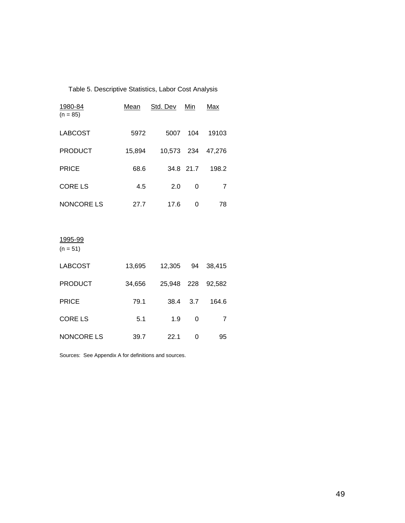| Table 5. Descriptive Statistics, Labor Cost Analysis |        |                 |           |        |  |  |
|------------------------------------------------------|--------|-----------------|-----------|--------|--|--|
| 1980-84<br>$(n = 85)$                                | Mean   | <u>Std. Dev</u> | Min       | Max    |  |  |
| <b>LABCOST</b>                                       | 5972   |                 | 5007 104  | 19103  |  |  |
| <b>PRODUCT</b>                                       | 15,894 | 10,573 234      |           | 47,276 |  |  |
| <b>PRICE</b>                                         | 68.6   |                 | 34.8 21.7 | 198.2  |  |  |
| <b>CORE LS</b>                                       | 4.5    | 2.0             | 0         | 7      |  |  |
| <b>NONCORE LS</b>                                    | 27.7   | 17.6            | 0         | 78     |  |  |
|                                                      |        |                 |           |        |  |  |
| 1995-99                                              |        |                 |           |        |  |  |
| $(n = 51)$                                           |        |                 |           |        |  |  |

| <b>LABCOST</b>    | 13,695 | 12,305 | 94  | 38.415 |
|-------------------|--------|--------|-----|--------|
| <b>PRODUCT</b>    | 34,656 | 25,948 | 228 | 92,582 |
| <b>PRICE</b>      | 79.1   | 38.4   | 3.7 | 164.6  |
| <b>CORE LS</b>    | 5.1    | 1.9    | 0   | 7      |
| <b>NONCORE LS</b> | 39.7   | 22.1   | ი   | 95     |

Sources: See Appendix A for definitions and sources.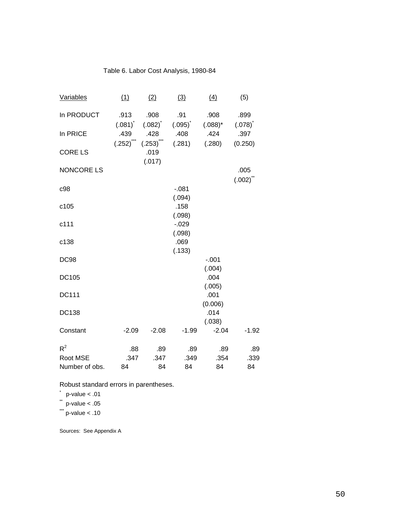# Table 6. Labor Cost Analysis, 1980-84

| Variables         | (1)                        | (2)                       | (3)                         | (4)                | (5)                    |
|-------------------|----------------------------|---------------------------|-----------------------------|--------------------|------------------------|
| In PRODUCT        | .913                       | .908                      | .91                         | .908               | .899                   |
| In PRICE          | $(.081)^{\degree}$<br>.439 | $(.082)^{\rceil}$<br>.428 | $(.095)^{\tilde{}}$<br>.408 | $(.088)^*$<br>.424 | (.078)<br>.397         |
| <b>CORE LS</b>    | $(.252)$ (.253)            | .019                      | (.281)                      | (.280)             | (0.250)                |
| <b>NONCORE LS</b> |                            | (.017)                    |                             |                    | .005                   |
| c98               |                            |                           | $-081$                      |                    | $(.002)^{^{\text{t}}}$ |
| c105              |                            |                           | (.094)<br>.158<br>(.098)    |                    |                        |
| c111              |                            |                           | $-0.029$<br>(.098)          |                    |                        |
| c138              |                            |                           | .069<br>(.133)              |                    |                        |
| <b>DC98</b>       |                            |                           |                             | $-.001$<br>(.004)  |                        |
| <b>DC105</b>      |                            |                           |                             | .004<br>(.005)     |                        |
| <b>DC111</b>      |                            |                           |                             | .001<br>(0.006)    |                        |
| <b>DC138</b>      |                            |                           |                             | .014<br>(.038)     |                        |
| Constant          | $-2.09$                    | $-2.08$                   | $-1.99$                     | $-2.04$            | $-1.92$                |
| $R^2$             | .88                        | .89                       | .89                         | .89                | .89                    |
| Root MSE          | .347                       | .347                      | .349                        | .354               | .339                   |
| Number of obs.    | 84                         | 84                        | 84                          | 84                 | 84                     |

Robust standard errors in parentheses.

 $*$  p-value < .01

 $*$  p-value < .05

 $\dddot{ }$  p-value < .10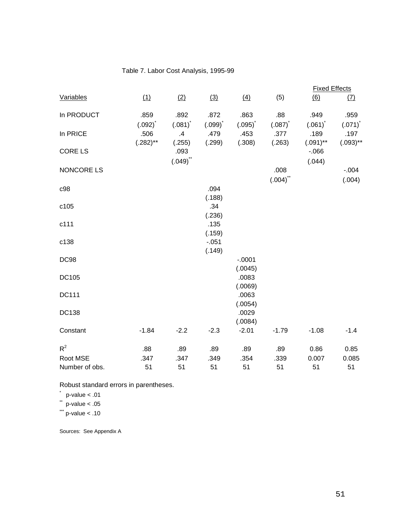# Table 7. Labor Cost Analysis, 1995-99

|                |                        |                        |            |                        |                       | <b>Fixed Effects</b> |             |
|----------------|------------------------|------------------------|------------|------------------------|-----------------------|----------------------|-------------|
| Variables      | (1)                    | (2)                    | (3)        | (4)                    | (5)                   | (6)                  | (7)         |
| In PRODUCT     | .859                   | .892                   | .872       | .863                   | .88                   | .949                 | .959        |
|                | $(.092)^{^{\text{t}}}$ | $(.081)^{^{\text{t}}}$ | $(.099)^T$ | $(.095)^{^{\text{t}}}$ | $(.087)$ <sup>*</sup> | $(.061)^{^{\circ}}$  | $(.071)^T$  |
| In PRICE       | .506                   | .4                     | .479       | .453                   | .377                  | .189                 | .197        |
|                | $(.282)$ **            | (.255)                 | (.299)     | (.308)                 | (.263)                | $(.091)$ **          | $(.093)$ ** |
| <b>CORE LS</b> |                        | .093                   |            |                        |                       | $-066$               |             |
|                |                        | $(.049)$ **            |            |                        |                       | (.044)               |             |
| NONCORE LS     |                        |                        |            |                        | .008                  |                      | $-0.004$    |
|                |                        |                        |            |                        | $(.004)^{**}$         |                      | (.004)      |
| c98            |                        |                        | .094       |                        |                       |                      |             |
|                |                        |                        | (.188)     |                        |                       |                      |             |
| c105           |                        |                        | .34        |                        |                       |                      |             |
|                |                        |                        | (.236)     |                        |                       |                      |             |
| c111           |                        |                        | .135       |                        |                       |                      |             |
|                |                        |                        | (.159)     |                        |                       |                      |             |
| c138           |                        |                        | $-.051$    |                        |                       |                      |             |
|                |                        |                        | (.149)     |                        |                       |                      |             |
| <b>DC98</b>    |                        |                        |            | $-.0001$               |                       |                      |             |
|                |                        |                        |            | (.0045)                |                       |                      |             |
| DC105          |                        |                        |            | .0083                  |                       |                      |             |
|                |                        |                        |            | (.0069)                |                       |                      |             |
| <b>DC111</b>   |                        |                        |            | .0063                  |                       |                      |             |
|                |                        |                        |            | (.0054)                |                       |                      |             |
| DC138          |                        |                        |            | .0029                  |                       |                      |             |
|                |                        |                        |            | (.0084)                |                       |                      |             |
| Constant       | $-1.84$                | $-2.2$                 | $-2.3$     | $-2.01$                | $-1.79$               | $-1.08$              | $-1.4$      |
|                |                        |                        |            |                        |                       |                      |             |
| $R^2$          | .88                    | .89                    | .89        | .89                    | .89                   | 0.86                 | 0.85        |
| Root MSE       | .347                   | .347                   | .349       | .354                   | .339                  | 0.007                | 0.085       |
| Number of obs. | 51                     | 51                     | 51         | 51                     | 51                    | 51                   | 51          |
|                |                        |                        |            |                        |                       |                      |             |

Robust standard errors in parentheses.

 $p$ -value  $< .01$  $\frac{p\text{-value}}{p\text{-value}} < .05$ 

 $\frac{P}{P}$  -value < .10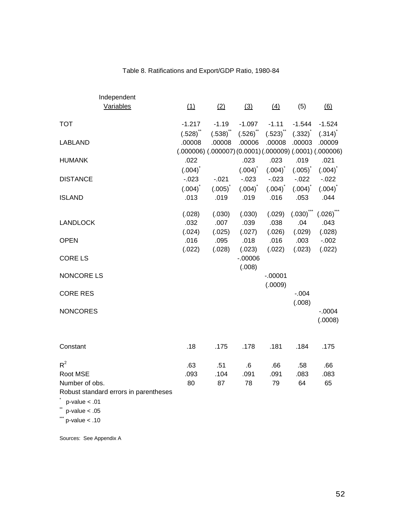| Independent                           |                                                                      |            |                     |                     |                     |                        |
|---------------------------------------|----------------------------------------------------------------------|------------|---------------------|---------------------|---------------------|------------------------|
| Variables                             | (1)                                                                  | (2)        | (3)                 | (4)                 | (5)                 | (6)                    |
| <b>TOT</b>                            | $-1.217$                                                             | $-1.19$    | $-1.097$            | $-1.11$             | $-1.544$            | $-1.524$               |
|                                       | $(.528)$ <sup>**</sup>                                               | (.538)     | $(.526)^{**}$       | (.523)              | (.332)              | (.314)                 |
| <b>LABLAND</b>                        | .00008                                                               | .00008     | .00006              | .00008              | .00003              | .00009                 |
|                                       | $(.000006)$ $(.000007)$ $(0.0001)$ $(.000009)$ $(.0001)$ $(.000006)$ |            |                     |                     |                     |                        |
| <b>HUMANK</b>                         | .022                                                                 |            | .023                | .023                | .019                | .021                   |
|                                       | $(.004)^{^{\circ}}$                                                  |            | $(.004)^{^*}$       | $(.004)^{^{\circ}}$ | $(.005)^{^*}$       | $(.004)^{^{\text{*}}}$ |
| <b>DISTANCE</b>                       | $-0.023$                                                             | $-0.021$   | $-0.023$            | $-0.023$            | $-0.022$            | $-0.022$               |
|                                       | $(.004)^{^{\circ}}$                                                  | $(.005)^T$ | $(.004)^{^{\circ}}$ | $(.004)^T$          | $(.004)^{^{\circ}}$ | $(.004)^T$             |
| <b>ISLAND</b>                         | .013                                                                 | .019       | .019                | .016                | .053                | .044                   |
|                                       | (.028)                                                               | (.030)     | (.030)              | (.029)              | $(.030)^{***}$      | $(.026)^{**}$          |
| <b>LANDLOCK</b>                       | .032                                                                 | .007       | .039                | .038                | .04                 | .043                   |
|                                       | (.024)                                                               | (.025)     | (.027)              | (.026)              | (.029)              | (.028)                 |
| <b>OPEN</b>                           | .016                                                                 | .095       | .018                | .016                | .003                | $-0.002$               |
|                                       | (.022)                                                               | (.028)     | (.023)              | (.022)              | (.023)              | (.022)                 |
| <b>CORE LS</b>                        |                                                                      |            | $-00006$            |                     |                     |                        |
|                                       |                                                                      |            | (.008)              |                     |                     |                        |
| NONCORE LS                            |                                                                      |            |                     | $-0.00001$          |                     |                        |
|                                       |                                                                      |            |                     | (.0009)             |                     |                        |
| <b>CORE RES</b>                       |                                                                      |            |                     |                     | $-0.004$            |                        |
|                                       |                                                                      |            |                     |                     | (.008)              |                        |
| <b>NONCORES</b>                       |                                                                      |            |                     |                     |                     | $-.0004$               |
|                                       |                                                                      |            |                     |                     |                     | (.0008)                |
|                                       |                                                                      |            |                     |                     |                     |                        |
| Constant                              | .18                                                                  | .175       | .178                | .181                | .184                | .175                   |
| $R^2$                                 | .63                                                                  | .51        | .6                  | .66                 | .58                 | .66                    |
| Root MSE                              | .093                                                                 | .104       | .091                | .091                | .083                | .083                   |
| Number of obs.                        | 80                                                                   | 87         | 78                  | 79                  | 64                  | 65                     |
| Robust standard errors in parentheses |                                                                      |            |                     |                     |                     |                        |
| $p$ -value $< .01$                    |                                                                      |            |                     |                     |                     |                        |
| $p$ -value < .05                      |                                                                      |            |                     |                     |                     |                        |

 $\dddot{ }$  p-value < .10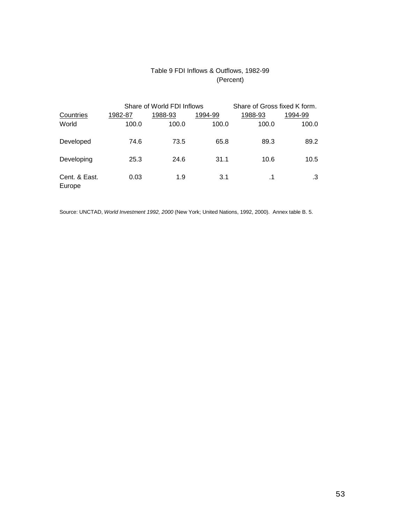# Table 9 FDI Inflows & Outflows, 1982-99 (Percent)

|                         |         | Share of World FDI Inflows | Share of Gross fixed K form. |           |         |
|-------------------------|---------|----------------------------|------------------------------|-----------|---------|
| Countries               | 1982-87 | 1988-93                    | 1994-99                      | 1988-93   | 1994-99 |
| World                   | 100.0   | 100.0                      | 100.0                        | 100.0     | 100.0   |
| Developed               | 74.6    | 73.5                       | 65.8                         | 89.3      | 89.2    |
| Developing              | 25.3    | 24.6                       | 31.1                         | 10.6      | 10.5    |
| Cent. & East.<br>Europe | 0.03    | 1.9                        | 3.1                          | $\cdot$ 1 | .3      |

Source: UNCTAD, World Investment 1992, 2000 (New York; United Nations, 1992, 2000). Annex table B. 5.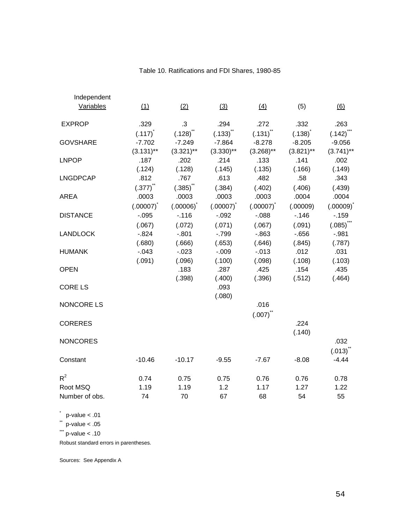| Independent     |                     |                  |               |                       |              |                         |
|-----------------|---------------------|------------------|---------------|-----------------------|--------------|-------------------------|
| Variables       | (1)                 | (2)              | (3)           | (4)                   | (5)          | (6)                     |
| <b>EXPROP</b>   | .329                | .3               | .294          | .272                  | .332         | .263                    |
|                 | $(.117)^{^{\circ}}$ | $(.128)^{^{**}}$ | $(.133)^{''}$ | $(.131)^{11}$         | $(.138)^{t}$ | $(.142)$ ***            |
| <b>GOVSHARE</b> | $-7.702$            | $-7.249$         | $-7.864$      | $-8.278$              | $-8.205$     | $-9.056$                |
|                 | $(3.131)$ **        | $(3.321)$ **     | $(3.330)$ **  | $(3.268)$ **          | $(3.821)$ ** | $(3.741)$ **            |
| <b>LNPOP</b>    | .187                | .202             | .214          | .133                  | .141         | .002                    |
|                 | (.124)              | (.128)           | (.145)        | (.135)                | (.166)       | (.149)                  |
| <b>LNGDPCAP</b> | .812                | .767             | .613          | .482                  | .58          | .343                    |
|                 | $(.377)^{**}$       | $(.385)^{**}$    | (.384)        | (.402)                | (.406)       | (.439)                  |
| <b>AREA</b>     | .0003               | .0003            | .0003         | .0003                 | .0004        | .0004                   |
|                 | $(.00007)^*$        | $(.00006)^*$     | $(.00007)^*$  | $(.00007)^{^{\circ}}$ | (.00009)     | $(.00009)^{^{\circ}}$   |
| <b>DISTANCE</b> | $-.095$             | $-.116$          | $-.092$       | $-0.088$              | $-.146$      | $-159$                  |
|                 | (.067)              | (.072)           | (.071)        | (.067)                | (.091)       | $(.085)$ <sup>***</sup> |
| <b>LANDLOCK</b> | $-0.824$            | $-0.801$         | $-799$        | $-0.863$              | $-0.656$     | $-.981$                 |
|                 | (.680)              | (.666)           | (.653)        | (.646)                | (.845)       | (.787)                  |
| <b>HUMANK</b>   | $-.043$             | $-.023$          | $-.009$       | $-.013$               | .012         | .031                    |
|                 | (.091)              | (.096)           | (.100)        | (.098)                | (.108)       | (.103)                  |
| <b>OPEN</b>     |                     | .183             | .287          | .425                  | .154         | .435                    |
|                 |                     | (.398)           | (.400)        | (.396)                | (.512)       | (.464)                  |
| <b>CORE LS</b>  |                     |                  | .093          |                       |              |                         |
|                 |                     |                  | (.080)        |                       |              |                         |
| NONCORE LS      |                     |                  |               | .016                  |              |                         |
|                 |                     |                  |               | $(.007)^{**}$         |              |                         |
| <b>CORERES</b>  |                     |                  |               |                       | .224         |                         |
|                 |                     |                  |               |                       | (.140)       |                         |
| <b>NONCORES</b> |                     |                  |               |                       |              | .032                    |
|                 |                     |                  |               |                       |              | $(.013)^{^{\sim}}$      |
| Constant        | $-10.46$            | $-10.17$         | $-9.55$       | $-7.67$               | $-8.08$      | $-4.44$                 |
| $R^2$           | 0.74                | 0.75             | 0.75          | 0.76                  | 0.76         | 0.78                    |
| Root MSQ        | 1.19                | 1.19             | 1.2           | 1.17                  | 1.27         | 1.22                    |
| Number of obs.  | 74                  | 70               | 67            | 68                    | 54           | 55                      |

# Table 10. Ratifications and FDI Shares, 1980-85

 $p$ -value < .01

 $*$  p-value < .05

 $\dddot{ }$  p-value < .10

Robust standard errors in parentheses.